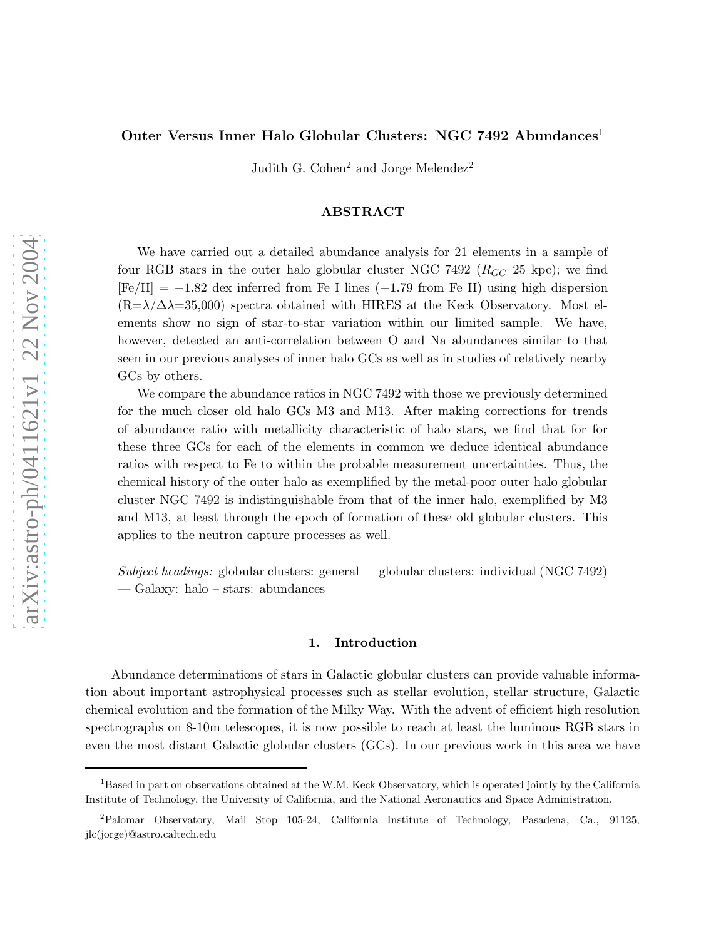# Outer Versus Inner Halo Globular Clusters: NGC 7492 Abundances<sup>1</sup>

Judith G. Cohen<sup>2</sup> and Jorge Melendez<sup>2</sup>

## ABSTRACT

We have carried out a detailed abundance analysis for 21 elements in a sample of four RGB stars in the outer halo globular cluster NGC 7492 ( $R_{GC}$  25 kpc); we find  $[Fe/H] = -1.82$  dex inferred from Fe I lines (-1.79 from Fe II) using high dispersion  $(R=\lambda/\Delta\lambda=35,000)$  spectra obtained with HIRES at the Keck Observatory. Most elements show no sign of star-to-star variation within our limited sample. We have, however, detected an anti-correlation between O and Na abundances similar to that seen in our previous analyses of inner halo GCs as well as in studies of relatively nearby GCs by others.

We compare the abundance ratios in NGC 7492 with those we previously determined for the much closer old halo GCs M3 and M13. After making corrections for trends of abundance ratio with metallicity characteristic of halo stars, we find that for for these three GCs for each of the elements in common we deduce identical abundance ratios with respect to Fe to within the probable measurement uncertainties. Thus, the chemical history of the outer halo as exemplified by the metal-poor outer halo globular cluster NGC 7492 is indistinguishable from that of the inner halo, exemplified by M3 and M13, at least through the epoch of formation of these old globular clusters. This applies to the neutron capture processes as well.

*Subject headings:* globular clusters: general — globular clusters: individual (NGC 7492) — Galaxy: halo – stars: abundances

### 1. Introduction

Abundance determinations of stars in Galactic globular clusters can provide valuable information about important astrophysical processes such as stellar evolution, stellar structure, Galactic chemical evolution and the formation of the Milky Way. With the advent of efficient high resolution spectrographs on 8-10m telescopes, it is now possible to reach at least the luminous RGB stars in even the most distant Galactic globular clusters (GCs). In our previous work in this area we have

 $1B$ ased in part on observations obtained at the W.M. Keck Observatory, which is operated jointly by the California Institute of Technology, the University of California, and the National Aeronautics and Space Administration.

<sup>2</sup>Palomar Observatory, Mail Stop 105-24, California Institute of Technology, Pasadena, Ca., 91125, jlc(jorge)@astro.caltech.edu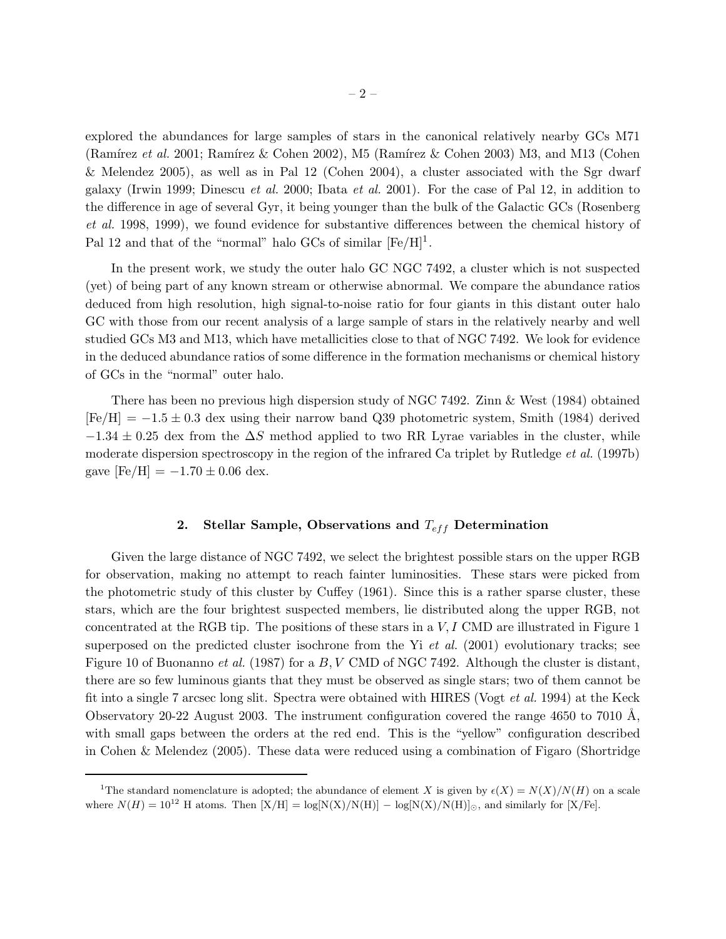explored the abundances for large samples of stars in the canonical relatively nearby GCs M71 (Ramírez *et al.* 2001; Ramírez & Cohen 2002), M5 (Ramírez & Cohen 2003) M3, and M13 (Cohen & Melendez 2005), as well as in Pal 12 (Cohen 2004), a cluster associated with the Sgr dwarf galaxy (Irwin 1999; Dinescu *et al.* 2000; Ibata *et al.* 2001). For the case of Pal 12, in addition to the difference in age of several Gyr, it being younger than the bulk of the Galactic GCs (Rosenberg *et al.* 1998, 1999), we found evidence for substantive differences between the chemical history of Pal 12 and that of the "normal" halo GCs of similar  $[Fe/H]$ <sup>1</sup>.

In the present work, we study the outer halo GC NGC 7492, a cluster which is not suspected (yet) of being part of any known stream or otherwise abnormal. We compare the abundance ratios deduced from high resolution, high signal-to-noise ratio for four giants in this distant outer halo GC with those from our recent analysis of a large sample of stars in the relatively nearby and well studied GCs M3 and M13, which have metallicities close to that of NGC 7492. We look for evidence in the deduced abundance ratios of some difference in the formation mechanisms or chemical history of GCs in the "normal" outer halo.

There has been no previous high dispersion study of NGC 7492. Zinn & West (1984) obtained  $[Fe/H] = -1.5 \pm 0.3$  dex using their narrow band Q39 photometric system, Smith (1984) derived  $-1.34 \pm 0.25$  dex from the  $\Delta S$  method applied to two RR Lyrae variables in the cluster, while moderate dispersion spectroscopy in the region of the infrared Ca triplet by Rutledge *et al.* (1997b) gave  $[Fe/H] = -1.70 \pm 0.06$  dex.

## 2. Stellar Sample, Observations and  $T_{eff}$  Determination

Given the large distance of NGC 7492, we select the brightest possible stars on the upper RGB for observation, making no attempt to reach fainter luminosities. These stars were picked from the photometric study of this cluster by Cuffey (1961). Since this is a rather sparse cluster, these stars, which are the four brightest suspected members, lie distributed along the upper RGB, not concentrated at the RGB tip. The positions of these stars in a  $V, I$  CMD are illustrated in Figure 1 superposed on the predicted cluster isochrone from the Yi *et al.* (2001) evolutionary tracks; see Figure 10 of Buonanno *et al.* (1987) for a B, V CMD of NGC 7492. Although the cluster is distant, there are so few luminous giants that they must be observed as single stars; two of them cannot be fit into a single 7 arcsec long slit. Spectra were obtained with HIRES (Vogt *et al.* 1994) at the Keck Observatory 20-22 August 2003. The instrument configuration covered the range 4650 to 7010 Å, with small gaps between the orders at the red end. This is the "yellow" configuration described in Cohen & Melendez (2005). These data were reduced using a combination of Figaro (Shortridge

<sup>&</sup>lt;sup>1</sup>The standard nomenclature is adopted; the abundance of element X is given by  $\epsilon(X) = N(X)/N(H)$  on a scale where  $N(H) = 10^{12}$  H atoms. Then  $[X/H] = \log[N(X)/N(H)] - \log[N(X)/N(H)]_{\odot}$ , and similarly for [X/Fe].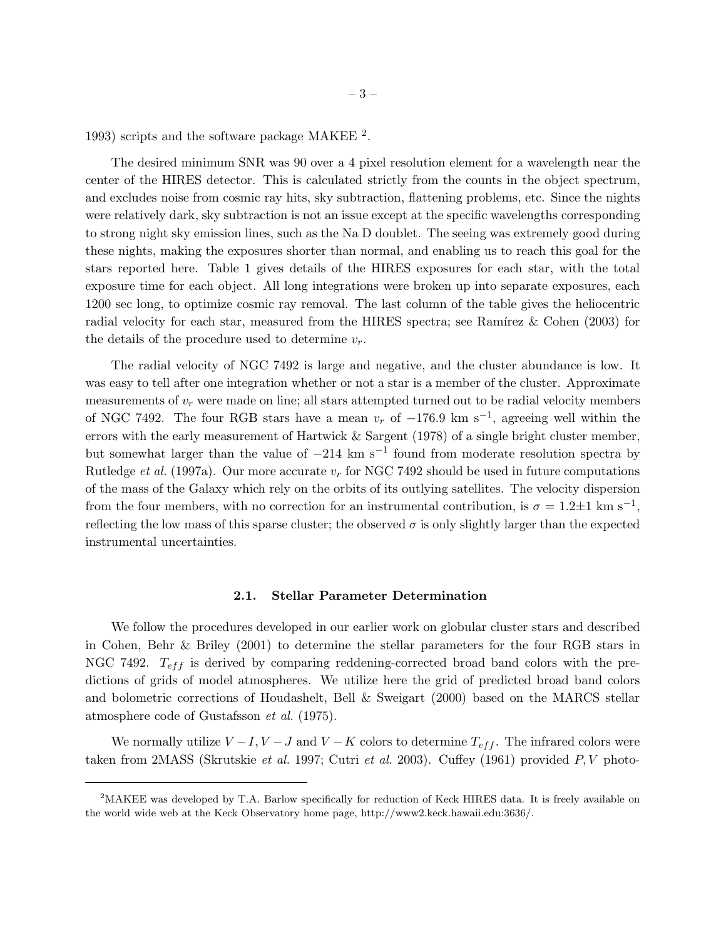1993) scripts and the software package MAKEE  $^2$ .

The desired minimum SNR was 90 over a 4 pixel resolution element for a wavelength near the center of the HIRES detector. This is calculated strictly from the counts in the object spectrum, and excludes noise from cosmic ray hits, sky subtraction, flattening problems, etc. Since the nights were relatively dark, sky subtraction is not an issue except at the specific wavelengths corresponding to strong night sky emission lines, such as the Na D doublet. The seeing was extremely good during these nights, making the exposures shorter than normal, and enabling us to reach this goal for the stars reported here. Table 1 gives details of the HIRES exposures for each star, with the total exposure time for each object. All long integrations were broken up into separate exposures, each 1200 sec long, to optimize cosmic ray removal. The last column of the table gives the heliocentric radial velocity for each star, measured from the HIRES spectra; see Ramírez  $\&$  Cohen (2003) for the details of the procedure used to determine  $v_r$ .

The radial velocity of NGC 7492 is large and negative, and the cluster abundance is low. It was easy to tell after one integration whether or not a star is a member of the cluster. Approximate measurements of  $v_r$  were made on line; all stars attempted turned out to be radial velocity members of NGC 7492. The four RGB stars have a mean  $v_r$  of  $-176.9 \text{ km s}^{-1}$ , agreeing well within the errors with the early measurement of Hartwick & Sargent (1978) of a single bright cluster member, but somewhat larger than the value of  $-214 \text{ km s}^{-1}$  found from moderate resolution spectra by Rutledge *et al.* (1997a). Our more accurate  $v_r$  for NGC 7492 should be used in future computations of the mass of the Galaxy which rely on the orbits of its outlying satellites. The velocity dispersion from the four members, with no correction for an instrumental contribution, is  $\sigma = 1.2 \pm 1$  km s<sup>-1</sup>, reflecting the low mass of this sparse cluster; the observed  $\sigma$  is only slightly larger than the expected instrumental uncertainties.

#### 2.1. Stellar Parameter Determination

We follow the procedures developed in our earlier work on globular cluster stars and described in Cohen, Behr & Briley (2001) to determine the stellar parameters for the four RGB stars in NGC 7492.  $T_{eff}$  is derived by comparing reddening-corrected broad band colors with the predictions of grids of model atmospheres. We utilize here the grid of predicted broad band colors and bolometric corrections of Houdashelt, Bell & Sweigart (2000) based on the MARCS stellar atmosphere code of Gustafsson *et al.* (1975).

We normally utilize  $V-I$ ,  $V-J$  and  $V-K$  colors to determine  $T_{eff}$ . The infrared colors were taken from 2MASS (Skrutskie *et al.* 1997; Cutri *et al.* 2003). Cuffey (1961) provided P, V photo-

<sup>&</sup>lt;sup>2</sup>MAKEE was developed by T.A. Barlow specifically for reduction of Keck HIRES data. It is freely available on the world wide web at the Keck Observatory home page, http://www2.keck.hawaii.edu:3636/.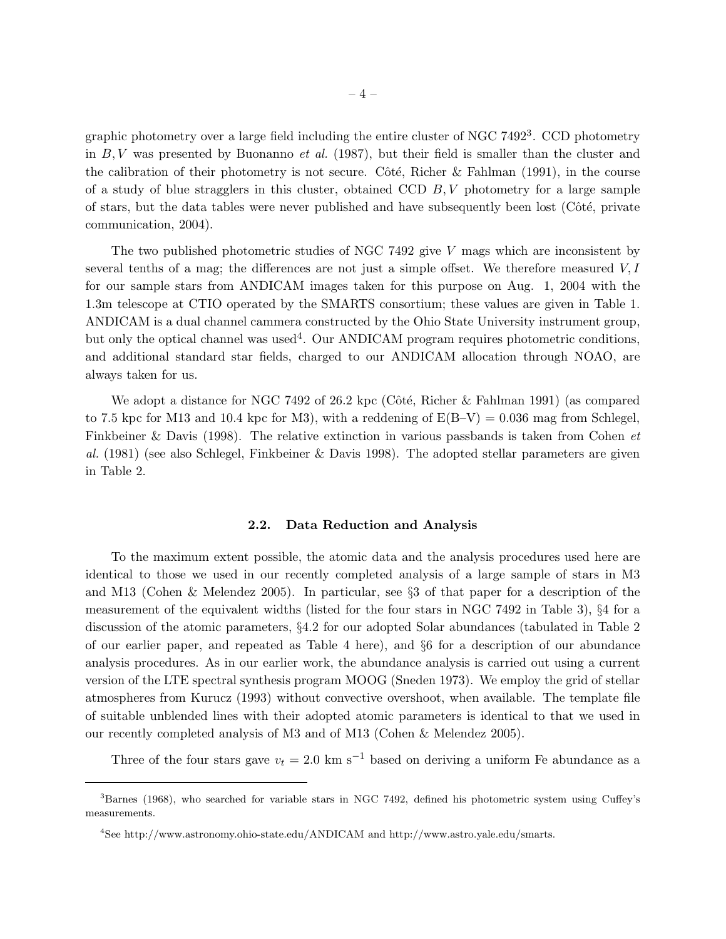graphic photometry over a large field including the entire cluster of NGC 7492<sup>3</sup>. CCD photometry in B, V was presented by Buonanno *et al.* (1987), but their field is smaller than the cluster and the calibration of their photometry is not secure. Côté, Richer & Fahlman (1991), in the course of a study of blue stragglers in this cluster, obtained CCD  $B, V$  photometry for a large sample of stars, but the data tables were never published and have subsequently been lost (Côté, private communication, 2004).

The two published photometric studies of NGC 7492 give V mags which are inconsistent by several tenths of a mag; the differences are not just a simple offset. We therefore measured  $V, I$ for our sample stars from ANDICAM images taken for this purpose on Aug. 1, 2004 with the 1.3m telescope at CTIO operated by the SMARTS consortium; these values are given in Table 1. ANDICAM is a dual channel cammera constructed by the Ohio State University instrument group, but only the optical channel was used<sup>4</sup>. Our ANDICAM program requires photometric conditions, and additional standard star fields, charged to our ANDICAM allocation through NOAO, are always taken for us.

We adopt a distance for NGC 7492 of 26.2 kpc (Côté, Richer & Fahlman 1991) (as compared to 7.5 kpc for M13 and 10.4 kpc for M3), with a reddening of  $E(B-V) = 0.036$  mag from Schlegel, Finkbeiner & Davis (1998). The relative extinction in various passbands is taken from Cohen *et al.* (1981) (see also Schlegel, Finkbeiner & Davis 1998). The adopted stellar parameters are given in Table 2.

### 2.2. Data Reduction and Analysis

To the maximum extent possible, the atomic data and the analysis procedures used here are identical to those we used in our recently completed analysis of a large sample of stars in M3 and M13 (Cohen & Melendez 2005). In particular, see §3 of that paper for a description of the measurement of the equivalent widths (listed for the four stars in NGC 7492 in Table 3), §4 for a discussion of the atomic parameters, §4.2 for our adopted Solar abundances (tabulated in Table 2 of our earlier paper, and repeated as Table 4 here), and §6 for a description of our abundance analysis procedures. As in our earlier work, the abundance analysis is carried out using a current version of the LTE spectral synthesis program MOOG (Sneden 1973). We employ the grid of stellar atmospheres from Kurucz (1993) without convective overshoot, when available. The template file of suitable unblended lines with their adopted atomic parameters is identical to that we used in our recently completed analysis of M3 and of M13 (Cohen & Melendez 2005).

Three of the four stars gave  $v_t = 2.0 \text{ km s}^{-1}$  based on deriving a uniform Fe abundance as a

<sup>3</sup>Barnes (1968), who searched for variable stars in NGC 7492, defined his photometric system using Cuffey's measurements.

<sup>4</sup> See http://www.astronomy.ohio-state.edu/ANDICAM and http://www.astro.yale.edu/smarts.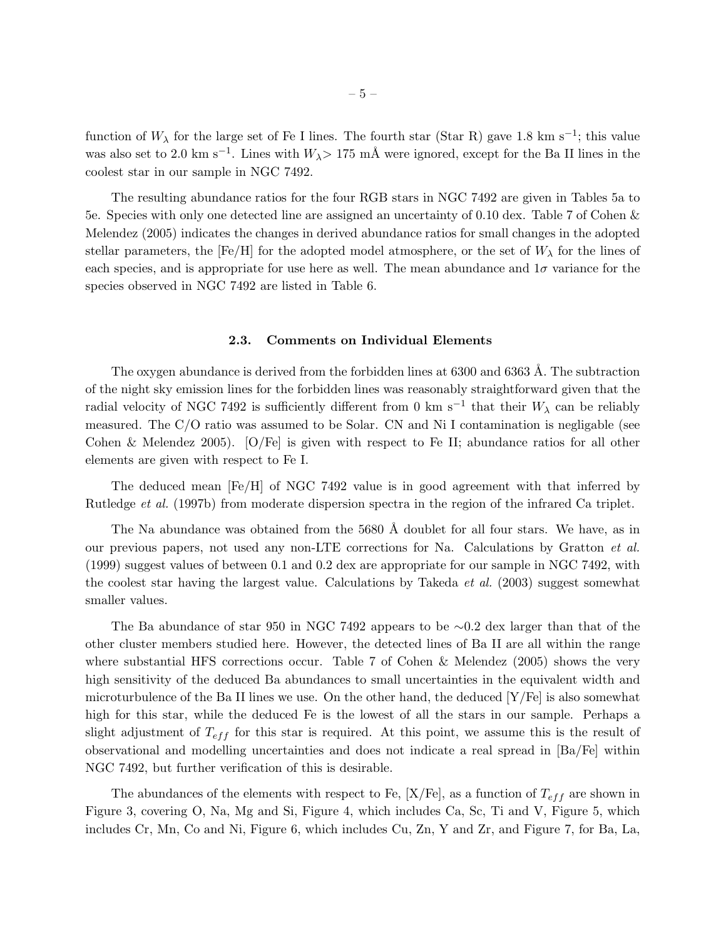function of  $W_\lambda$  for the large set of Fe I lines. The fourth star (Star R) gave 1.8 km s<sup>-1</sup>; this value was also set to 2.0 km s<sup>-1</sup>. Lines with  $W_{\lambda}$ > 175 mÅ were ignored, except for the Ba II lines in the coolest star in our sample in NGC 7492.

The resulting abundance ratios for the four RGB stars in NGC 7492 are given in Tables 5a to 5e. Species with only one detected line are assigned an uncertainty of 0.10 dex. Table 7 of Cohen & Melendez (2005) indicates the changes in derived abundance ratios for small changes in the adopted stellar parameters, the  $[Fe/H]$  for the adopted model atmosphere, or the set of  $W_{\lambda}$  for the lines of each species, and is appropriate for use here as well. The mean abundance and  $1\sigma$  variance for the species observed in NGC 7492 are listed in Table 6.

#### 2.3. Comments on Individual Elements

The oxygen abundance is derived from the forbidden lines at  $6300$  and  $6363$  Å. The subtraction of the night sky emission lines for the forbidden lines was reasonably straightforward given that the radial velocity of NGC 7492 is sufficiently different from 0 km s<sup>-1</sup> that their  $W_{\lambda}$  can be reliably measured. The C/O ratio was assumed to be Solar. CN and Ni I contamination is negligable (see Cohen & Melendez 2005). [O/Fe] is given with respect to Fe II; abundance ratios for all other elements are given with respect to Fe I.

The deduced mean [Fe/H] of NGC 7492 value is in good agreement with that inferred by Rutledge *et al.* (1997b) from moderate dispersion spectra in the region of the infrared Ca triplet.

The Na abundance was obtained from the  $5680 \text{ Å}$  doublet for all four stars. We have, as in our previous papers, not used any non-LTE corrections for Na. Calculations by Gratton *et al.* (1999) suggest values of between 0.1 and 0.2 dex are appropriate for our sample in NGC 7492, with the coolest star having the largest value. Calculations by Takeda *et al.* (2003) suggest somewhat smaller values.

The Ba abundance of star 950 in NGC 7492 appears to be ∼0.2 dex larger than that of the other cluster members studied here. However, the detected lines of Ba II are all within the range where substantial HFS corrections occur. Table 7 of Cohen & Melendez (2005) shows the very high sensitivity of the deduced Ba abundances to small uncertainties in the equivalent width and microturbulence of the Ba II lines we use. On the other hand, the deduced  $[Y/Fe]$  is also somewhat high for this star, while the deduced Fe is the lowest of all the stars in our sample. Perhaps a slight adjustment of  $T_{eff}$  for this star is required. At this point, we assume this is the result of observational and modelling uncertainties and does not indicate a real spread in [Ba/Fe] within NGC 7492, but further verification of this is desirable.

The abundances of the elements with respect to Fe,  $[X/Fe]$ , as a function of  $T_{eff}$  are shown in Figure 3, covering O, Na, Mg and Si, Figure 4, which includes Ca, Sc, Ti and V, Figure 5, which includes Cr, Mn, Co and Ni, Figure 6, which includes Cu, Zn, Y and Zr, and Figure 7, for Ba, La,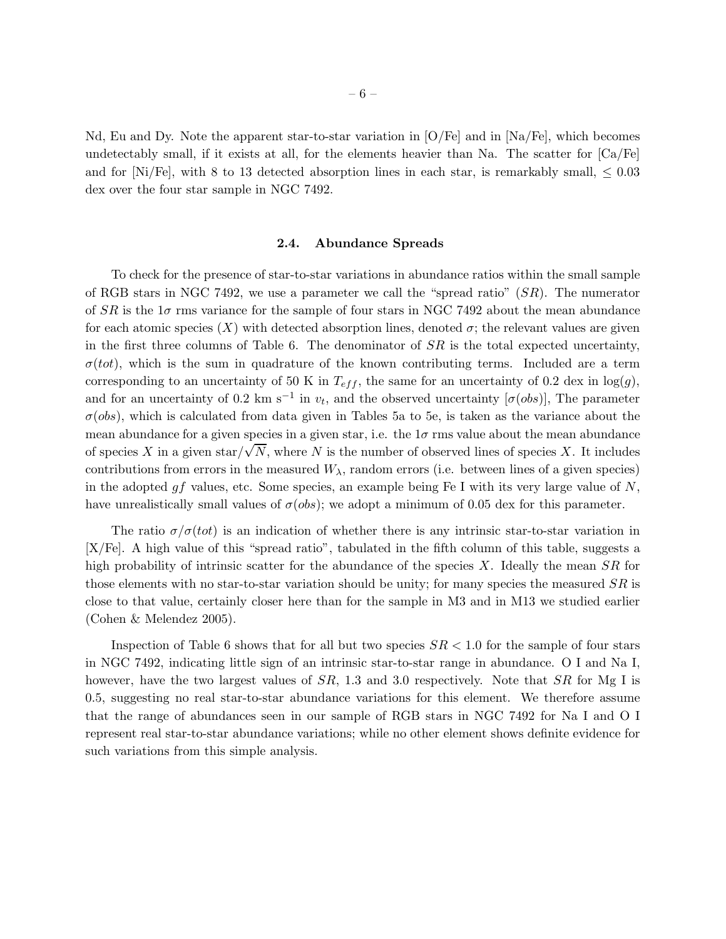Nd, Eu and Dy. Note the apparent star-to-star variation in  $[O/Fe]$  and in  $[Na/Fe]$ , which becomes undetectably small, if it exists at all, for the elements heavier than Na. The scatter for  $[Ca/Fe]$ and for [Ni/Fe], with 8 to 13 detected absorption lines in each star, is remarkably small,  $\leq 0.03$ dex over the four star sample in NGC 7492.

#### 2.4. Abundance Spreads

To check for the presence of star-to-star variations in abundance ratios within the small sample of RGB stars in NGC 7492, we use a parameter we call the "spread ratio"  $(SR)$ . The numerator of  $SR$  is the 1 $\sigma$  rms variance for the sample of four stars in NGC 7492 about the mean abundance for each atomic species  $(X)$  with detected absorption lines, denoted  $\sigma$ ; the relevant values are given in the first three columns of Table 6. The denominator of  $SR$  is the total expected uncertainty,  $\sigma(tot)$ , which is the sum in quadrature of the known contributing terms. Included are a term corresponding to an uncertainty of 50 K in  $T_{eff}$ , the same for an uncertainty of 0.2 dex in  $log(g)$ , and for an uncertainty of 0.2 km s<sup>-1</sup> in  $v_t$ , and the observed uncertainty [ $\sigma(obj)$ ], The parameter  $\sigma(bbs)$ , which is calculated from data given in Tables 5a to 5e, is taken as the variance about the mean abundance for a given species in a given star, i.e. the  $1\sigma$  rms value about the mean abundance of species X in a given star $\overline{\sqrt{N}}$ , where N is the number of observed lines of species X. It includes contributions from errors in the measured  $W_{\lambda}$ , random errors (i.e. between lines of a given species) in the adopted gf values, etc. Some species, an example being Fe I with its very large value of  $N$ , have unrealistically small values of  $\sigma(\text{obs})$ ; we adopt a minimum of 0.05 dex for this parameter.

The ratio  $\sigma/\sigma(tot)$  is an indication of whether there is any intrinsic star-to-star variation in [X/Fe]. A high value of this "spread ratio", tabulated in the fifth column of this table, suggests a high probability of intrinsic scatter for the abundance of the species X. Ideally the mean  $SR$  for those elements with no star-to-star variation should be unity; for many species the measured  $SR$  is close to that value, certainly closer here than for the sample in M3 and in M13 we studied earlier (Cohen & Melendez 2005).

Inspection of Table 6 shows that for all but two species  $SR < 1.0$  for the sample of four stars in NGC 7492, indicating little sign of an intrinsic star-to-star range in abundance. O I and Na I, however, have the two largest values of  $SR$ , 1.3 and 3.0 respectively. Note that  $SR$  for Mg I is 0.5, suggesting no real star-to-star abundance variations for this element. We therefore assume that the range of abundances seen in our sample of RGB stars in NGC 7492 for Na I and O I represent real star-to-star abundance variations; while no other element shows definite evidence for such variations from this simple analysis.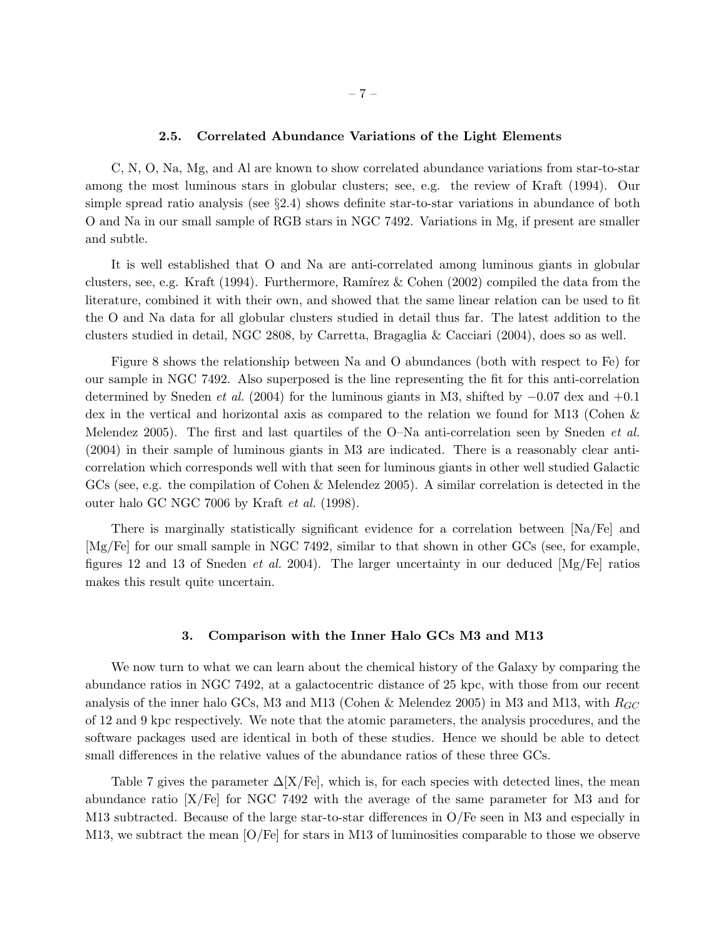### 2.5. Correlated Abundance Variations of the Light Elements

C, N, O, Na, Mg, and Al are known to show correlated abundance variations from star-to-star among the most luminous stars in globular clusters; see, e.g. the review of Kraft (1994). Our simple spread ratio analysis (see §2.4) shows definite star-to-star variations in abundance of both O and Na in our small sample of RGB stars in NGC 7492. Variations in Mg, if present are smaller and subtle.

It is well established that O and Na are anti-correlated among luminous giants in globular clusters, see, e.g. Kraft (1994). Furthermore, Ramírez & Cohen (2002) compiled the data from the literature, combined it with their own, and showed that the same linear relation can be used to fit the O and Na data for all globular clusters studied in detail thus far. The latest addition to the clusters studied in detail, NGC 2808, by Carretta, Bragaglia & Cacciari (2004), does so as well.

Figure 8 shows the relationship between Na and O abundances (both with respect to Fe) for our sample in NGC 7492. Also superposed is the line representing the fit for this anti-correlation determined by Sneden *et al.* (2004) for the luminous giants in M3, shifted by −0.07 dex and +0.1 dex in the vertical and horizontal axis as compared to the relation we found for M13 (Cohen & Melendez 2005). The first and last quartiles of the O–Na anti-correlation seen by Sneden *et al.* (2004) in their sample of luminous giants in M3 are indicated. There is a reasonably clear anticorrelation which corresponds well with that seen for luminous giants in other well studied Galactic GCs (see, e.g. the compilation of Cohen & Melendez 2005). A similar correlation is detected in the outer halo GC NGC 7006 by Kraft *et al.* (1998).

There is marginally statistically significant evidence for a correlation between [Na/Fe] and [Mg/Fe] for our small sample in NGC 7492, similar to that shown in other GCs (see, for example, figures 12 and 13 of Sneden *et al.* 2004). The larger uncertainty in our deduced [Mg/Fe] ratios makes this result quite uncertain.

## 3. Comparison with the Inner Halo GCs M3 and M13

We now turn to what we can learn about the chemical history of the Galaxy by comparing the abundance ratios in NGC 7492, at a galactocentric distance of 25 kpc, with those from our recent analysis of the inner halo GCs, M3 and M13 (Cohen & Melendez 2005) in M3 and M13, with  $R_{GC}$ of 12 and 9 kpc respectively. We note that the atomic parameters, the analysis procedures, and the software packages used are identical in both of these studies. Hence we should be able to detect small differences in the relative values of the abundance ratios of these three GCs.

Table 7 gives the parameter  $\Delta[X/\text{Fe}]$ , which is, for each species with detected lines, the mean abundance ratio [X/Fe] for NGC 7492 with the average of the same parameter for M3 and for M13 subtracted. Because of the large star-to-star differences in O/Fe seen in M3 and especially in M13, we subtract the mean [O/Fe] for stars in M13 of luminosities comparable to those we observe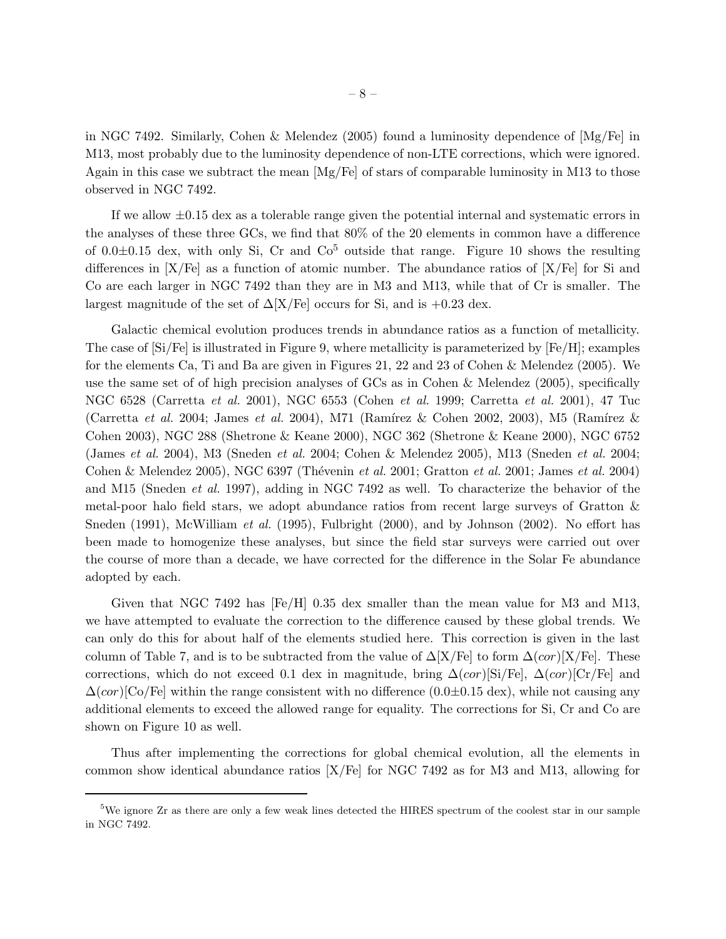in NGC 7492. Similarly, Cohen & Melendez (2005) found a luminosity dependence of [Mg/Fe] in M13, most probably due to the luminosity dependence of non-LTE corrections, which were ignored. Again in this case we subtract the mean  $[Mg/Fe]$  of stars of comparable luminosity in M13 to those observed in NGC 7492.

If we allow  $\pm 0.15$  dex as a tolerable range given the potential internal and systematic errors in the analyses of these three GCs, we find that 80% of the 20 elements in common have a difference of 0.0 $\pm$ 0.15 dex, with only Si, Cr and Co<sup>5</sup> outside that range. Figure 10 shows the resulting differences in [X/Fe] as a function of atomic number. The abundance ratios of [X/Fe] for Si and Co are each larger in NGC 7492 than they are in M3 and M13, while that of Cr is smaller. The largest magnitude of the set of  $\Delta[X/Fe]$  occurs for Si, and is +0.23 dex.

Galactic chemical evolution produces trends in abundance ratios as a function of metallicity. The case of  $[Si/Fe]$  is illustrated in Figure 9, where metallicity is parameterized by  $[Fe/H]$ ; examples for the elements Ca, Ti and Ba are given in Figures 21, 22 and 23 of Cohen & Melendez (2005). We use the same set of of high precision analyses of GCs as in Cohen & Melendez (2005), specifically NGC 6528 (Carretta *et al.* 2001), NGC 6553 (Cohen *et al.* 1999; Carretta *et al.* 2001), 47 Tuc (Carretta *et al.* 2004; James *et al.* 2004), M71 (Ramírez & Cohen 2002, 2003), M5 (Ramírez & Cohen 2003), NGC 288 (Shetrone & Keane 2000), NGC 362 (Shetrone & Keane 2000), NGC 6752 (James *et al.* 2004), M3 (Sneden *et al.* 2004; Cohen & Melendez 2005), M13 (Sneden *et al.* 2004; Cohen & Melendez 2005), NGC 6397 (Th´evenin *et al.* 2001; Gratton *et al.* 2001; James *et al.* 2004) and M15 (Sneden *et al.* 1997), adding in NGC 7492 as well. To characterize the behavior of the metal-poor halo field stars, we adopt abundance ratios from recent large surveys of Gratton & Sneden (1991), McWilliam *et al.* (1995), Fulbright (2000), and by Johnson (2002). No effort has been made to homogenize these analyses, but since the field star surveys were carried out over the course of more than a decade, we have corrected for the difference in the Solar Fe abundance adopted by each.

Given that NGC 7492 has  $[Fe/H]$  0.35 dex smaller than the mean value for M3 and M13, we have attempted to evaluate the correction to the difference caused by these global trends. We can only do this for about half of the elements studied here. This correction is given in the last column of Table 7, and is to be subtracted from the value of  $\Delta[X/Fe]$  to form  $\Delta(cor)[X/Fe]$ . These corrections, which do not exceed 0.1 dex in magnitude, bring  $\Delta (cor)$ [Si/Fe],  $\Delta (cor)$ [Cr/Fe] and  $\Delta(cor)$ [Co/Fe] within the range consistent with no difference (0.0±0.15 dex), while not causing any additional elements to exceed the allowed range for equality. The corrections for Si, Cr and Co are shown on Figure 10 as well.

Thus after implementing the corrections for global chemical evolution, all the elements in common show identical abundance ratios [X/Fe] for NGC 7492 as for M3 and M13, allowing for

<sup>&</sup>lt;sup>5</sup>We ignore Zr as there are only a few weak lines detected the HIRES spectrum of the coolest star in our sample in NGC 7492.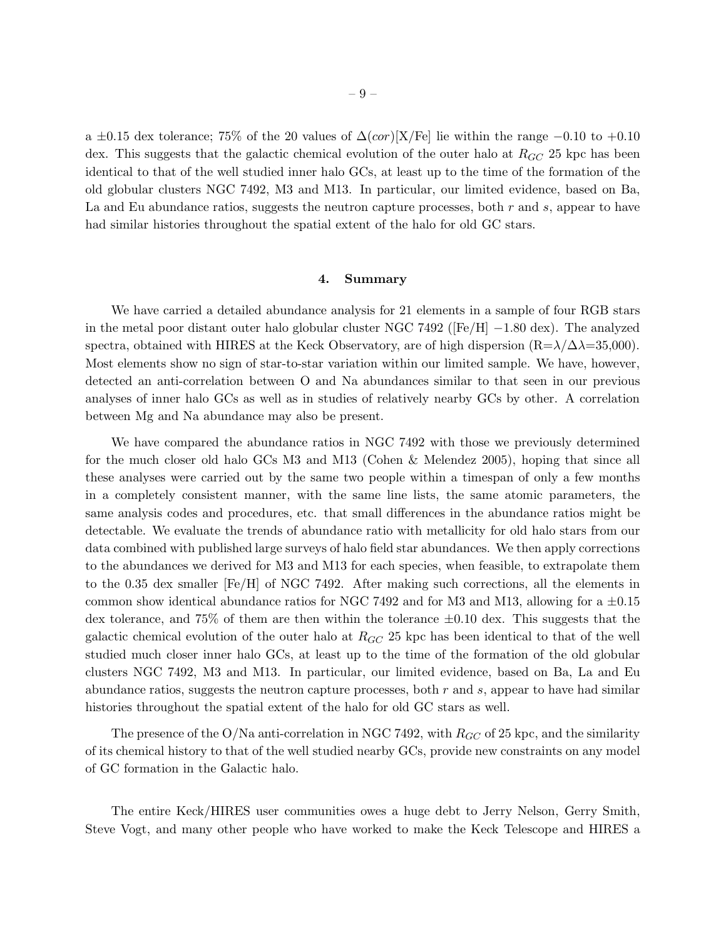a  $\pm 0.15$  dex tolerance; 75% of the 20 values of  $\Delta(cor)[X/Fe]$  lie within the range  $-0.10$  to  $+0.10$ dex. This suggests that the galactic chemical evolution of the outer halo at  $R_{GC}$  25 kpc has been identical to that of the well studied inner halo GCs, at least up to the time of the formation of the old globular clusters NGC 7492, M3 and M13. In particular, our limited evidence, based on Ba, La and Eu abundance ratios, suggests the neutron capture processes, both  $r$  and  $s$ , appear to have had similar histories throughout the spatial extent of the halo for old GC stars.

#### 4. Summary

We have carried a detailed abundance analysis for 21 elements in a sample of four RGB stars in the metal poor distant outer halo globular cluster NGC 7492 ( $[Fe/H]$  –1.80 dex). The analyzed spectra, obtained with HIRES at the Keck Observatory, are of high dispersion  $(R=\lambda/\Delta\lambda=35,000)$ . Most elements show no sign of star-to-star variation within our limited sample. We have, however, detected an anti-correlation between O and Na abundances similar to that seen in our previous analyses of inner halo GCs as well as in studies of relatively nearby GCs by other. A correlation between Mg and Na abundance may also be present.

We have compared the abundance ratios in NGC 7492 with those we previously determined for the much closer old halo GCs M3 and M13 (Cohen & Melendez 2005), hoping that since all these analyses were carried out by the same two people within a timespan of only a few months in a completely consistent manner, with the same line lists, the same atomic parameters, the same analysis codes and procedures, etc. that small differences in the abundance ratios might be detectable. We evaluate the trends of abundance ratio with metallicity for old halo stars from our data combined with published large surveys of halo field star abundances. We then apply corrections to the abundances we derived for M3 and M13 for each species, when feasible, to extrapolate them to the 0.35 dex smaller [Fe/H] of NGC 7492. After making such corrections, all the elements in common show identical abundance ratios for NGC 7492 and for M3 and M13, allowing for a  $\pm 0.15$ dex tolerance, and 75% of them are then within the tolerance  $\pm 0.10$  dex. This suggests that the galactic chemical evolution of the outer halo at  $R_{GC}$  25 kpc has been identical to that of the well studied much closer inner halo GCs, at least up to the time of the formation of the old globular clusters NGC 7492, M3 and M13. In particular, our limited evidence, based on Ba, La and Eu abundance ratios, suggests the neutron capture processes, both  $r$  and  $s$ , appear to have had similar histories throughout the spatial extent of the halo for old GC stars as well.

The presence of the O/Na anti-correlation in NGC 7492, with  $R_{GC}$  of 25 kpc, and the similarity of its chemical history to that of the well studied nearby GCs, provide new constraints on any model of GC formation in the Galactic halo.

The entire Keck/HIRES user communities owes a huge debt to Jerry Nelson, Gerry Smith, Steve Vogt, and many other people who have worked to make the Keck Telescope and HIRES a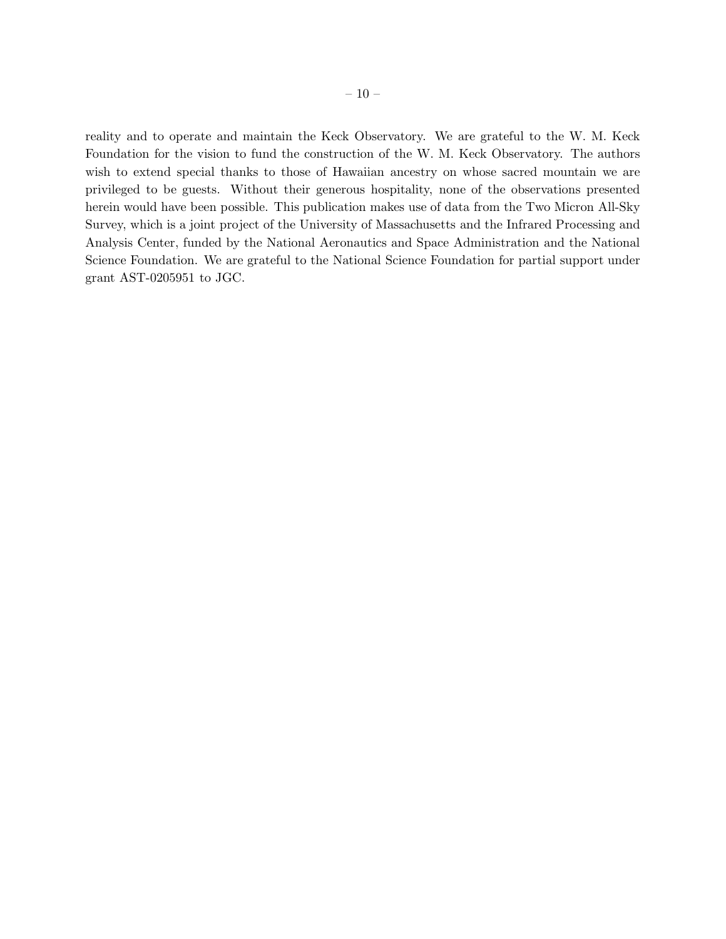reality and to operate and maintain the Keck Observatory. We are grateful to the W. M. Keck Foundation for the vision to fund the construction of the W. M. Keck Observatory. The authors wish to extend special thanks to those of Hawaiian ancestry on whose sacred mountain we are privileged to be guests. Without their generous hospitality, none of the observations presented herein would have been possible. This publication makes use of data from the Two Micron All-Sky Survey, which is a joint project of the University of Massachusetts and the Infrared Processing and Analysis Center, funded by the National Aeronautics and Space Administration and the National Science Foundation. We are grateful to the National Science Foundation for partial support under grant AST-0205951 to JGC.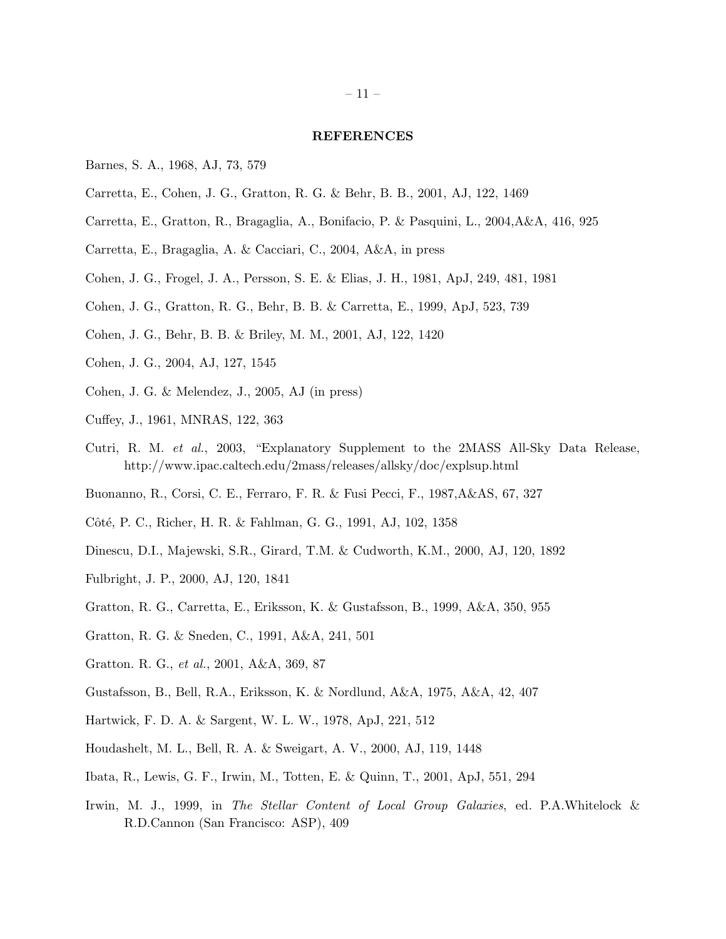## REFERENCES

- Barnes, S. A., 1968, AJ, 73, 579
- Carretta, E., Cohen, J. G., Gratton, R. G. & Behr, B. B., 2001, AJ, 122, 1469
- Carretta, E., Gratton, R., Bragaglia, A., Bonifacio, P. & Pasquini, L., 2004,A&A, 416, 925
- Carretta, E., Bragaglia, A. & Cacciari, C., 2004, A&A, in press
- Cohen, J. G., Frogel, J. A., Persson, S. E. & Elias, J. H., 1981, ApJ, 249, 481, 1981
- Cohen, J. G., Gratton, R. G., Behr, B. B. & Carretta, E., 1999, ApJ, 523, 739
- Cohen, J. G., Behr, B. B. & Briley, M. M., 2001, AJ, 122, 1420
- Cohen, J. G., 2004, AJ, 127, 1545
- Cohen, J. G. & Melendez, J., 2005, AJ (in press)
- Cuffey, J., 1961, MNRAS, 122, 363
- Cutri, R. M. *et al.*, 2003, "Explanatory Supplement to the 2MASS All-Sky Data Release, http://www.ipac.caltech.edu/2mass/releases/allsky/doc/explsup.html
- Buonanno, R., Corsi, C. E., Ferraro, F. R. & Fusi Pecci, F., 1987,A&AS, 67, 327
- Côté, P. C., Richer, H. R. & Fahlman, G. G., 1991, AJ, 102, 1358
- Dinescu, D.I., Majewski, S.R., Girard, T.M. & Cudworth, K.M., 2000, AJ, 120, 1892
- Fulbright, J. P., 2000, AJ, 120, 1841
- Gratton, R. G., Carretta, E., Eriksson, K. & Gustafsson, B., 1999, A&A, 350, 955
- Gratton, R. G. & Sneden, C., 1991, A&A, 241, 501
- Gratton. R. G., *et al.*, 2001, A&A, 369, 87
- Gustafsson, B., Bell, R.A., Eriksson, K. & Nordlund, A&A, 1975, A&A, 42, 407
- Hartwick, F. D. A. & Sargent, W. L. W., 1978, ApJ, 221, 512
- Houdashelt, M. L., Bell, R. A. & Sweigart, A. V., 2000, AJ, 119, 1448
- Ibata, R., Lewis, G. F., Irwin, M., Totten, E. & Quinn, T., 2001, ApJ, 551, 294
- Irwin, M. J., 1999, in *The Stellar Content of Local Group Galaxies*, ed. P.A.Whitelock & R.D.Cannon (San Francisco: ASP), 409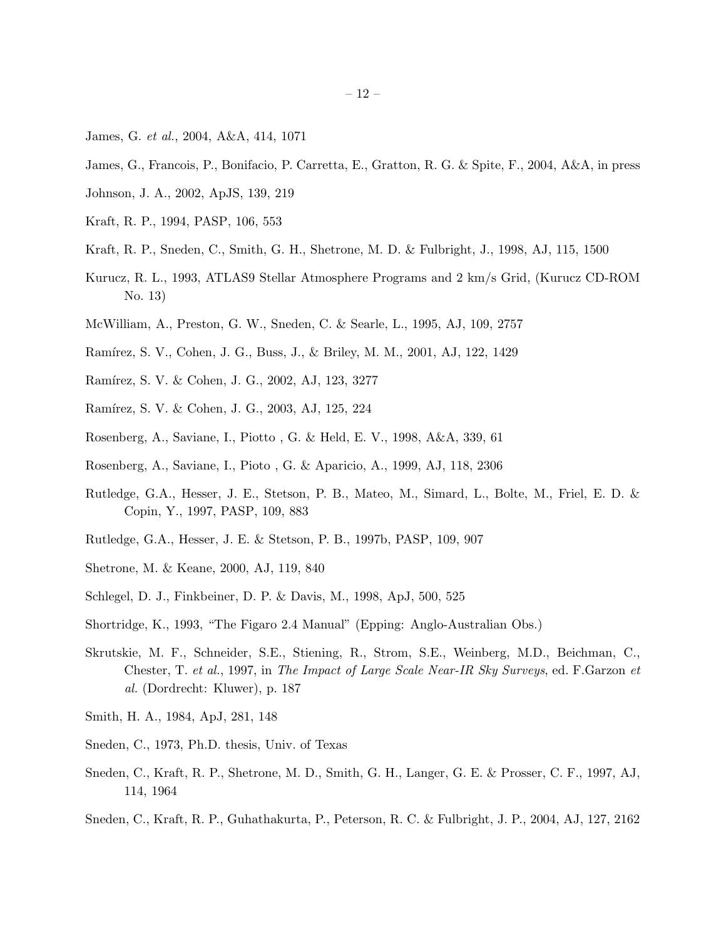- James, G. *et al.*, 2004, A&A, 414, 1071
- James, G., Francois, P., Bonifacio, P. Carretta, E., Gratton, R. G. & Spite, F., 2004, A&A, in press
- Johnson, J. A., 2002, ApJS, 139, 219
- Kraft, R. P., 1994, PASP, 106, 553
- Kraft, R. P., Sneden, C., Smith, G. H., Shetrone, M. D. & Fulbright, J., 1998, AJ, 115, 1500
- Kurucz, R. L., 1993, ATLAS9 Stellar Atmosphere Programs and 2 km/s Grid, (Kurucz CD-ROM No. 13)
- McWilliam, A., Preston, G. W., Sneden, C. & Searle, L., 1995, AJ, 109, 2757
- Ramírez, S. V., Cohen, J. G., Buss, J., & Briley, M. M., 2001, AJ, 122, 1429
- Ramírez, S. V. & Cohen, J. G., 2002, AJ, 123, 3277
- Ramírez, S. V. & Cohen, J. G., 2003, AJ, 125, 224
- Rosenberg, A., Saviane, I., Piotto , G. & Held, E. V., 1998, A&A, 339, 61
- Rosenberg, A., Saviane, I., Pioto , G. & Aparicio, A., 1999, AJ, 118, 2306
- Rutledge, G.A., Hesser, J. E., Stetson, P. B., Mateo, M., Simard, L., Bolte, M., Friel, E. D. & Copin, Y., 1997, PASP, 109, 883
- Rutledge, G.A., Hesser, J. E. & Stetson, P. B., 1997b, PASP, 109, 907
- Shetrone, M. & Keane, 2000, AJ, 119, 840
- Schlegel, D. J., Finkbeiner, D. P. & Davis, M., 1998, ApJ, 500, 525
- Shortridge, K., 1993, "The Figaro 2.4 Manual" (Epping: Anglo-Australian Obs.)
- Skrutskie, M. F., Schneider, S.E., Stiening, R., Strom, S.E., Weinberg, M.D., Beichman, C., Chester, T. *et al.*, 1997, in *The Impact of Large Scale Near-IR Sky Surveys*, ed. F.Garzon *et al.* (Dordrecht: Kluwer), p. 187
- Smith, H. A., 1984, ApJ, 281, 148
- Sneden, C., 1973, Ph.D. thesis, Univ. of Texas
- Sneden, C., Kraft, R. P., Shetrone, M. D., Smith, G. H., Langer, G. E. & Prosser, C. F., 1997, AJ, 114, 1964
- Sneden, C., Kraft, R. P., Guhathakurta, P., Peterson, R. C. & Fulbright, J. P., 2004, AJ, 127, 2162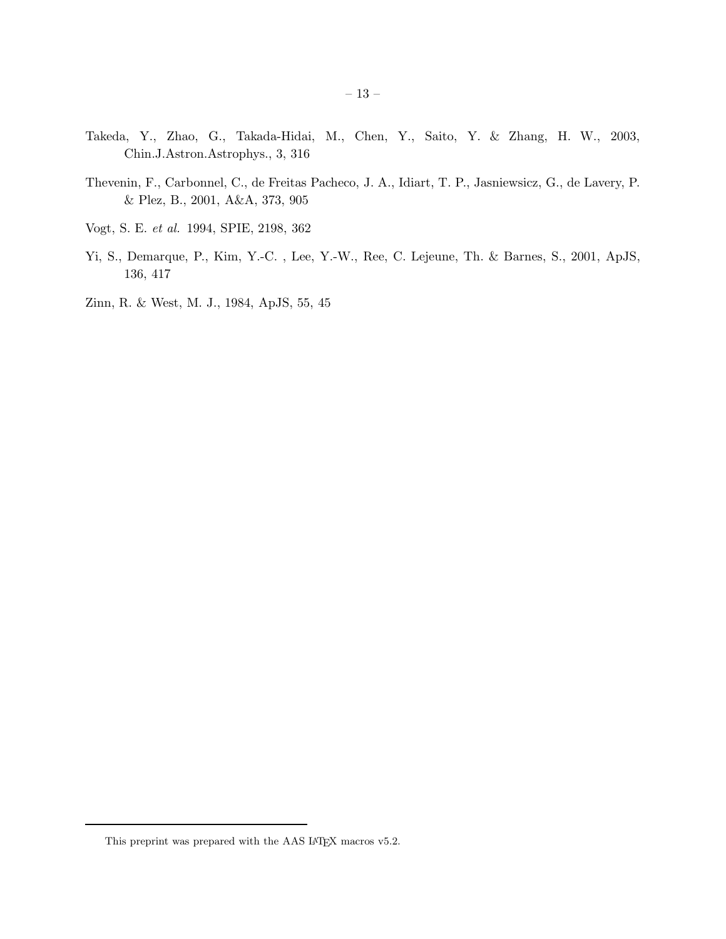- Takeda, Y., Zhao, G., Takada-Hidai, M., Chen, Y., Saito, Y. & Zhang, H. W., 2003, Chin.J.Astron.Astrophys., 3, 316
- Thevenin, F., Carbonnel, C., de Freitas Pacheco, J. A., Idiart, T. P., Jasniewsicz, G., de Lavery, P. & Plez, B., 2001, A&A, 373, 905
- Vogt, S. E. *et al.* 1994, SPIE, 2198, 362
- Yi, S., Demarque, P., Kim, Y.-C. , Lee, Y.-W., Ree, C. Lejeune, Th. & Barnes, S., 2001, ApJS, 136, 417
- Zinn, R. & West, M. J., 1984, ApJS, 55, 45

This preprint was prepared with the AAS IATEX macros v5.2.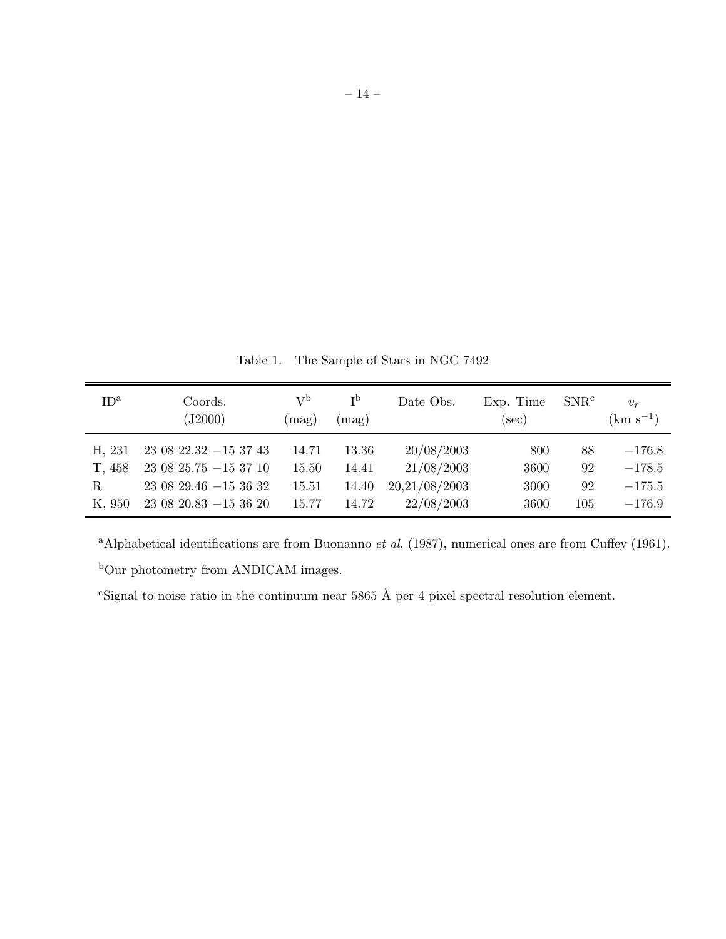Table 1. The Sample of Stars in NGC 7492

| ID <sup>a</sup> | Coords.<br>(J2000)            | $\rm V^b$<br>mag) | $\mathsf{I}^{\mathsf{b}}$<br>(mag) | Date Obs.     | Exp. Time<br>$(\mathrm{sec})$ | SNR <sup>c</sup> | $v_r$<br>$\rm (km\ s^{-1})$ |
|-----------------|-------------------------------|-------------------|------------------------------------|---------------|-------------------------------|------------------|-----------------------------|
| H, 231          | $230822.32 - 153743$          | 14.71             | 13.36                              | 20/08/2003    | 800                           | 88               | $-176.8$                    |
| T, 458          | $230825.75 - 153710$          | 15.50             | 14.41                              | 21/08/2003    | 3600                          | 92               | $-178.5$                    |
| R               | $23\;08\;29.46\; -15\;36\;32$ | 15.51             | 14.40                              | 20,21/08/2003 | 3000                          | 92               | $-175.5$                    |
| K, 950          | $23\ 08\ 20.83\ -15\ 36\ 20$  | 15.77             | 14.72                              | 22/08/2003    | 3600                          | 105              | $-176.9$                    |

<sup>a</sup>Alphabetical identifications are from Buonanno *et al.* (1987), numerical ones are from Cuffey (1961).

 $\rm ^bOur$  photometry from ANDICAM images.

<sup>c</sup>Signal to noise ratio in the continuum near 5865 Å per 4 pixel spectral resolution element.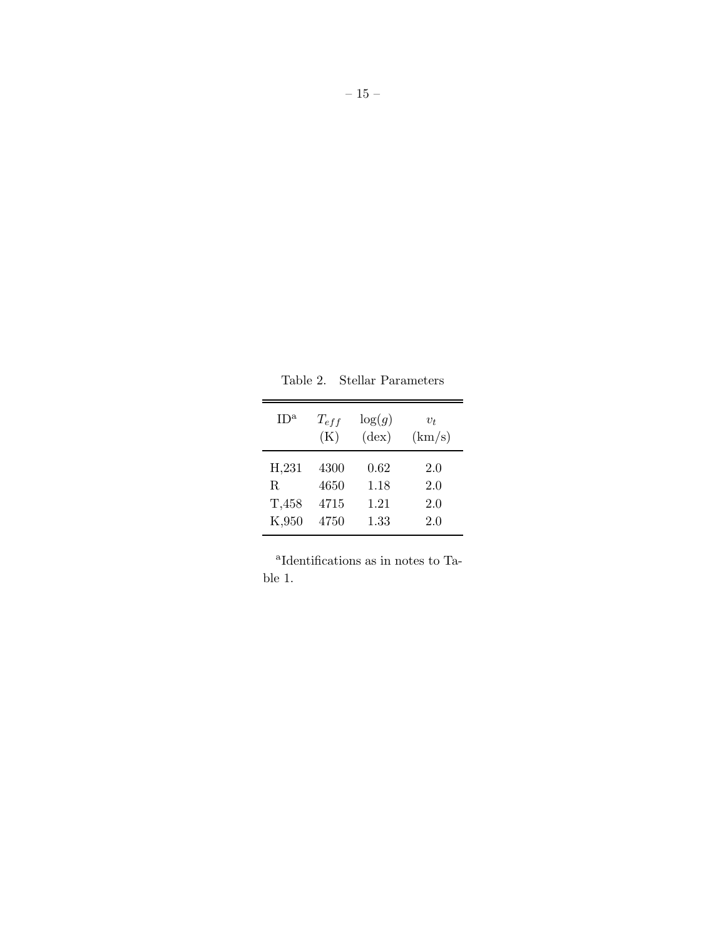| ID <sup>a</sup> | $T_{eff}$<br>(K) | $\log(g)$<br>$(\text{dex})$ | $v_t$<br>(km/s) |
|-----------------|------------------|-----------------------------|-----------------|
| H,231           | 4300             | 0.62                        | 2.0             |
| R.              | 4650             | 1.18                        | 2.0             |
| T,458           | 4715             | 1.21                        | 2.0             |
| K,950           | 4750             | 1.33                        | 2.0             |

Table 2. Stellar Parameters

a Identifications as in notes to Table 1.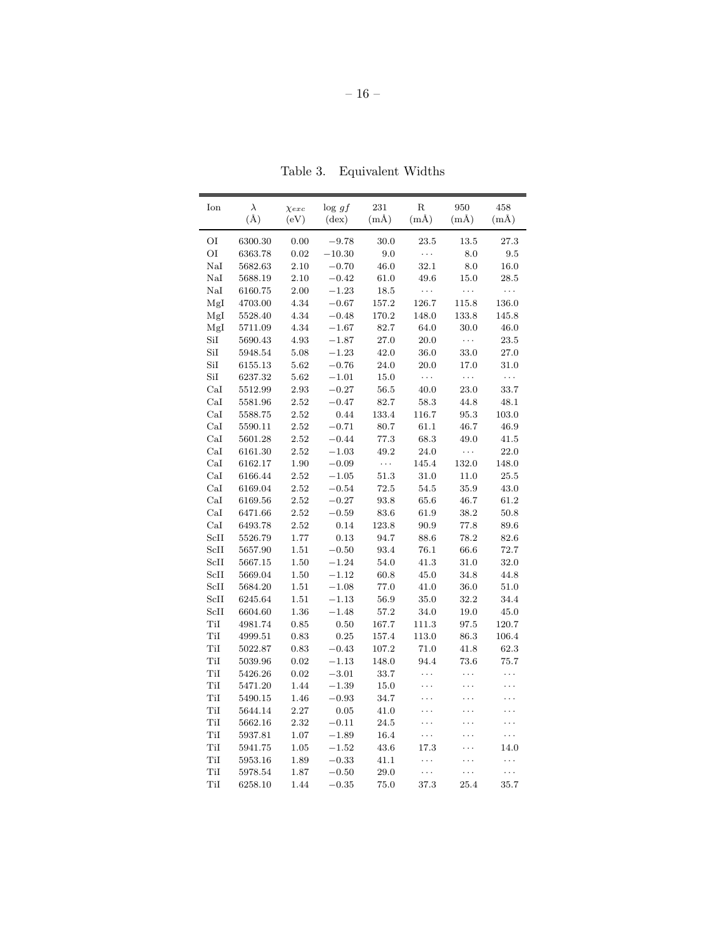| OI<br>0.00<br>30.0<br>23.5<br>13.5<br>27.3<br>6300.30<br>$-9.78$<br>OI<br>9.0<br>$\ldots$<br>8.0<br>$\ \, 9.5$<br>6363.78<br>$0.02\,$<br>$-10.30$<br>NaI<br>5682.63<br>2.10<br>$-0.70$<br>46.0<br>32.1<br>8.0<br>16.0<br>NaI<br>2.10<br>$-0.42$<br>49.6<br>15.0<br>5688.19<br>61.0<br>$28.5\,$<br>NaI<br>2.00<br>$-1.23$<br>18.5<br>$\cdots$<br>6160.75<br>$\ldots$<br>$\cdots$<br>MgI<br>4703.00<br>4.34<br>$-0.67$<br>157.2<br>126.7<br>115.8<br>136.0<br>MgI<br>170.2<br>148.0<br>133.8<br>5528.40<br>4.34<br>$-0.48$<br>145.8<br>30.0<br>Mgl<br>5711.09<br>4.34<br>$-1.67$<br>82.7<br>64.0<br>46.0<br>SiI<br>$\ldots$<br>5690.43<br>4.93<br>$-1.87$<br>27.0<br>20.0<br>23.5<br>$\rm SiI$<br>$5.08\,$<br>$-1.23$<br>42.0<br>$36.0\,$<br>$33.0\,$<br>$27.0\,$<br>5948.54<br>SiI<br>$-0.76$<br>24.0<br>20.0<br>17.0<br>6155.13<br>5.62<br>31.0<br>$\ldots$<br>SiI<br>$\ldots$<br>$\ldots$<br>6237.32<br>5.62<br>$-1.01$<br>15.0<br>CaI<br>5512.99<br>2.93<br>$-0.27$<br>56.5<br>40.0<br>23.0<br>33.7<br>$_{\rm{CaI}}$<br>2.52<br>$-0.47$<br>82.7<br>58.3<br>44.8<br>48.1<br>5581.96<br>CaI<br>2.52<br>0.44<br>133.4<br>116.7<br>95.3<br>103.0<br>5588.75<br>CaI<br>$2.52\,$<br>$-0.71$<br>80.7<br>61.1<br>46.7<br>46.9<br>5590.11<br>CaI<br>5601.28<br>2.52<br>$-0.44$<br>77.3<br>68.3<br>49.0<br>41.5<br>$\rm {CaI}$<br>24.0<br>2.52<br>$-1.03$<br>49.2<br>$\ldots$<br>22.0<br>6161.30<br>CaI<br>$\ldots$<br>145.4<br>132.0<br>6162.17<br>1.90<br>$-0.09$<br>148.0<br>CaI<br>2.52<br>$-1.05$<br>51.3<br>31.0<br>11.0<br>25.5<br>6166.44<br>CaI<br>6169.04<br>2.52<br>$-0.54$<br>72.5<br>54.5<br>35.9<br>43.0<br>CaI<br>6169.56<br>2.52<br>$-0.27$<br>93.8<br>65.6<br>46.7<br>61.2<br>$_{\rm{CaI}}$<br>$2.52\,$<br>$-0.59$<br>83.6<br>61.9<br>38.2<br>50.8<br>6471.66<br>CaI<br>6493.78<br>2.52<br>0.14<br>123.8<br>90.9<br>77.8<br>89.6<br>5526.79<br>1.77<br>0.13<br>94.7<br>88.6<br>78.2<br>82.6<br>1.51<br>$-0.50$<br>93.4<br>76.1<br>66.6<br>72.7<br>5657.90<br>5667.15<br>1.50<br>$-1.24$<br>54.0<br>41.3<br>31.0<br>32.0<br>ScII<br>$-1.12$<br>34.8<br>5669.04<br>1.50<br>60.8<br>45.0<br>44.8<br>5684.20<br>1.51<br>$-1.08$<br>77.0<br>41.0<br>36.0<br>51.0<br>1.51<br>$-1.13$<br>35.0<br>6245.64<br>56.9<br>32.2<br>34.4<br>$1.36\,$<br>$-1.48$<br>19.0<br>6604.60<br>57.2<br>34.0<br>45.0<br>TiI<br>0.85<br>0.50<br>167.7<br>111.3<br>97.5<br>120.7<br>4981.74<br>TiI<br>0.83<br>0.25<br>4999.51<br>157.4<br>113.0<br>86.3<br>106.4<br>TiI<br>5022.87<br>$\rm 0.83$<br>$-0.43$<br>107.2<br>$71.0\,$<br>41.8<br>62.3<br>0.02<br>$-1.13$<br>148.0<br>94.4<br>73.6<br>5039.96<br>75.7<br>0.02<br>$-3.01$<br>33.7<br>.<br>5426.26<br>.<br>.<br>1.44<br>$-1.39$<br>15.0<br>5471.20<br>.<br>TiI<br>5490.15<br>1.46<br>$-0.93$<br>34.7<br>2.27<br>0.05<br>41.0<br>5644.14<br>5662.16<br>2.32<br>$-0.11$<br>24.5<br>TiI<br>1.07<br>$-1.89$<br>16.4<br>5937.81<br>.<br>.<br>TiI<br>5941.75<br>1.05<br>$-1.52$<br>43.6<br>17.3<br>14.0<br>TiI<br>5953.16<br>1.89<br>$-0.33$<br>41.1<br>.<br>.<br>TiI<br>1.87<br>$-0.50$<br>29.0<br>5978.54<br>.<br>TiI<br>6258.10<br>1.44<br>$-0.35$<br>75.0<br>37.3<br>25.4<br>35.7 | Ion  | $\lambda$<br>$(\AA)$ | $\chi_{exc}$<br>(eV) | $\log gf$<br>$(\text{dex})$ | 231<br>$(m\AA)$ | $\rm R$<br>$(m\AA)$ | 950<br>$(m\AA)$ | 458<br>$(m\AA)$ |
|-----------------------------------------------------------------------------------------------------------------------------------------------------------------------------------------------------------------------------------------------------------------------------------------------------------------------------------------------------------------------------------------------------------------------------------------------------------------------------------------------------------------------------------------------------------------------------------------------------------------------------------------------------------------------------------------------------------------------------------------------------------------------------------------------------------------------------------------------------------------------------------------------------------------------------------------------------------------------------------------------------------------------------------------------------------------------------------------------------------------------------------------------------------------------------------------------------------------------------------------------------------------------------------------------------------------------------------------------------------------------------------------------------------------------------------------------------------------------------------------------------------------------------------------------------------------------------------------------------------------------------------------------------------------------------------------------------------------------------------------------------------------------------------------------------------------------------------------------------------------------------------------------------------------------------------------------------------------------------------------------------------------------------------------------------------------------------------------------------------------------------------------------------------------------------------------------------------------------------------------------------------------------------------------------------------------------------------------------------------------------------------------------------------------------------------------------------------------------------------------------------------------------------------------------------------------------------------------------------------------------------------------------------------------------------------------------------------------------------------------------------------------------------------------------------------------------------------------------------------------------------------------------------------------------------------------------------------------------------------------------------------------------------------------------------------------------------------------------------------------------|------|----------------------|----------------------|-----------------------------|-----------------|---------------------|-----------------|-----------------|
|                                                                                                                                                                                                                                                                                                                                                                                                                                                                                                                                                                                                                                                                                                                                                                                                                                                                                                                                                                                                                                                                                                                                                                                                                                                                                                                                                                                                                                                                                                                                                                                                                                                                                                                                                                                                                                                                                                                                                                                                                                                                                                                                                                                                                                                                                                                                                                                                                                                                                                                                                                                                                                                                                                                                                                                                                                                                                                                                                                                                                                                                                                                       |      |                      |                      |                             |                 |                     |                 |                 |
|                                                                                                                                                                                                                                                                                                                                                                                                                                                                                                                                                                                                                                                                                                                                                                                                                                                                                                                                                                                                                                                                                                                                                                                                                                                                                                                                                                                                                                                                                                                                                                                                                                                                                                                                                                                                                                                                                                                                                                                                                                                                                                                                                                                                                                                                                                                                                                                                                                                                                                                                                                                                                                                                                                                                                                                                                                                                                                                                                                                                                                                                                                                       |      |                      |                      |                             |                 |                     |                 |                 |
|                                                                                                                                                                                                                                                                                                                                                                                                                                                                                                                                                                                                                                                                                                                                                                                                                                                                                                                                                                                                                                                                                                                                                                                                                                                                                                                                                                                                                                                                                                                                                                                                                                                                                                                                                                                                                                                                                                                                                                                                                                                                                                                                                                                                                                                                                                                                                                                                                                                                                                                                                                                                                                                                                                                                                                                                                                                                                                                                                                                                                                                                                                                       |      |                      |                      |                             |                 |                     |                 |                 |
|                                                                                                                                                                                                                                                                                                                                                                                                                                                                                                                                                                                                                                                                                                                                                                                                                                                                                                                                                                                                                                                                                                                                                                                                                                                                                                                                                                                                                                                                                                                                                                                                                                                                                                                                                                                                                                                                                                                                                                                                                                                                                                                                                                                                                                                                                                                                                                                                                                                                                                                                                                                                                                                                                                                                                                                                                                                                                                                                                                                                                                                                                                                       |      |                      |                      |                             |                 |                     |                 |                 |
|                                                                                                                                                                                                                                                                                                                                                                                                                                                                                                                                                                                                                                                                                                                                                                                                                                                                                                                                                                                                                                                                                                                                                                                                                                                                                                                                                                                                                                                                                                                                                                                                                                                                                                                                                                                                                                                                                                                                                                                                                                                                                                                                                                                                                                                                                                                                                                                                                                                                                                                                                                                                                                                                                                                                                                                                                                                                                                                                                                                                                                                                                                                       |      |                      |                      |                             |                 |                     |                 |                 |
|                                                                                                                                                                                                                                                                                                                                                                                                                                                                                                                                                                                                                                                                                                                                                                                                                                                                                                                                                                                                                                                                                                                                                                                                                                                                                                                                                                                                                                                                                                                                                                                                                                                                                                                                                                                                                                                                                                                                                                                                                                                                                                                                                                                                                                                                                                                                                                                                                                                                                                                                                                                                                                                                                                                                                                                                                                                                                                                                                                                                                                                                                                                       |      |                      |                      |                             |                 |                     |                 |                 |
|                                                                                                                                                                                                                                                                                                                                                                                                                                                                                                                                                                                                                                                                                                                                                                                                                                                                                                                                                                                                                                                                                                                                                                                                                                                                                                                                                                                                                                                                                                                                                                                                                                                                                                                                                                                                                                                                                                                                                                                                                                                                                                                                                                                                                                                                                                                                                                                                                                                                                                                                                                                                                                                                                                                                                                                                                                                                                                                                                                                                                                                                                                                       |      |                      |                      |                             |                 |                     |                 |                 |
|                                                                                                                                                                                                                                                                                                                                                                                                                                                                                                                                                                                                                                                                                                                                                                                                                                                                                                                                                                                                                                                                                                                                                                                                                                                                                                                                                                                                                                                                                                                                                                                                                                                                                                                                                                                                                                                                                                                                                                                                                                                                                                                                                                                                                                                                                                                                                                                                                                                                                                                                                                                                                                                                                                                                                                                                                                                                                                                                                                                                                                                                                                                       |      |                      |                      |                             |                 |                     |                 |                 |
|                                                                                                                                                                                                                                                                                                                                                                                                                                                                                                                                                                                                                                                                                                                                                                                                                                                                                                                                                                                                                                                                                                                                                                                                                                                                                                                                                                                                                                                                                                                                                                                                                                                                                                                                                                                                                                                                                                                                                                                                                                                                                                                                                                                                                                                                                                                                                                                                                                                                                                                                                                                                                                                                                                                                                                                                                                                                                                                                                                                                                                                                                                                       |      |                      |                      |                             |                 |                     |                 |                 |
|                                                                                                                                                                                                                                                                                                                                                                                                                                                                                                                                                                                                                                                                                                                                                                                                                                                                                                                                                                                                                                                                                                                                                                                                                                                                                                                                                                                                                                                                                                                                                                                                                                                                                                                                                                                                                                                                                                                                                                                                                                                                                                                                                                                                                                                                                                                                                                                                                                                                                                                                                                                                                                                                                                                                                                                                                                                                                                                                                                                                                                                                                                                       |      |                      |                      |                             |                 |                     |                 |                 |
|                                                                                                                                                                                                                                                                                                                                                                                                                                                                                                                                                                                                                                                                                                                                                                                                                                                                                                                                                                                                                                                                                                                                                                                                                                                                                                                                                                                                                                                                                                                                                                                                                                                                                                                                                                                                                                                                                                                                                                                                                                                                                                                                                                                                                                                                                                                                                                                                                                                                                                                                                                                                                                                                                                                                                                                                                                                                                                                                                                                                                                                                                                                       |      |                      |                      |                             |                 |                     |                 |                 |
|                                                                                                                                                                                                                                                                                                                                                                                                                                                                                                                                                                                                                                                                                                                                                                                                                                                                                                                                                                                                                                                                                                                                                                                                                                                                                                                                                                                                                                                                                                                                                                                                                                                                                                                                                                                                                                                                                                                                                                                                                                                                                                                                                                                                                                                                                                                                                                                                                                                                                                                                                                                                                                                                                                                                                                                                                                                                                                                                                                                                                                                                                                                       |      |                      |                      |                             |                 |                     |                 |                 |
|                                                                                                                                                                                                                                                                                                                                                                                                                                                                                                                                                                                                                                                                                                                                                                                                                                                                                                                                                                                                                                                                                                                                                                                                                                                                                                                                                                                                                                                                                                                                                                                                                                                                                                                                                                                                                                                                                                                                                                                                                                                                                                                                                                                                                                                                                                                                                                                                                                                                                                                                                                                                                                                                                                                                                                                                                                                                                                                                                                                                                                                                                                                       |      |                      |                      |                             |                 |                     |                 |                 |
|                                                                                                                                                                                                                                                                                                                                                                                                                                                                                                                                                                                                                                                                                                                                                                                                                                                                                                                                                                                                                                                                                                                                                                                                                                                                                                                                                                                                                                                                                                                                                                                                                                                                                                                                                                                                                                                                                                                                                                                                                                                                                                                                                                                                                                                                                                                                                                                                                                                                                                                                                                                                                                                                                                                                                                                                                                                                                                                                                                                                                                                                                                                       |      |                      |                      |                             |                 |                     |                 |                 |
|                                                                                                                                                                                                                                                                                                                                                                                                                                                                                                                                                                                                                                                                                                                                                                                                                                                                                                                                                                                                                                                                                                                                                                                                                                                                                                                                                                                                                                                                                                                                                                                                                                                                                                                                                                                                                                                                                                                                                                                                                                                                                                                                                                                                                                                                                                                                                                                                                                                                                                                                                                                                                                                                                                                                                                                                                                                                                                                                                                                                                                                                                                                       |      |                      |                      |                             |                 |                     |                 |                 |
|                                                                                                                                                                                                                                                                                                                                                                                                                                                                                                                                                                                                                                                                                                                                                                                                                                                                                                                                                                                                                                                                                                                                                                                                                                                                                                                                                                                                                                                                                                                                                                                                                                                                                                                                                                                                                                                                                                                                                                                                                                                                                                                                                                                                                                                                                                                                                                                                                                                                                                                                                                                                                                                                                                                                                                                                                                                                                                                                                                                                                                                                                                                       |      |                      |                      |                             |                 |                     |                 |                 |
|                                                                                                                                                                                                                                                                                                                                                                                                                                                                                                                                                                                                                                                                                                                                                                                                                                                                                                                                                                                                                                                                                                                                                                                                                                                                                                                                                                                                                                                                                                                                                                                                                                                                                                                                                                                                                                                                                                                                                                                                                                                                                                                                                                                                                                                                                                                                                                                                                                                                                                                                                                                                                                                                                                                                                                                                                                                                                                                                                                                                                                                                                                                       |      |                      |                      |                             |                 |                     |                 |                 |
|                                                                                                                                                                                                                                                                                                                                                                                                                                                                                                                                                                                                                                                                                                                                                                                                                                                                                                                                                                                                                                                                                                                                                                                                                                                                                                                                                                                                                                                                                                                                                                                                                                                                                                                                                                                                                                                                                                                                                                                                                                                                                                                                                                                                                                                                                                                                                                                                                                                                                                                                                                                                                                                                                                                                                                                                                                                                                                                                                                                                                                                                                                                       |      |                      |                      |                             |                 |                     |                 |                 |
|                                                                                                                                                                                                                                                                                                                                                                                                                                                                                                                                                                                                                                                                                                                                                                                                                                                                                                                                                                                                                                                                                                                                                                                                                                                                                                                                                                                                                                                                                                                                                                                                                                                                                                                                                                                                                                                                                                                                                                                                                                                                                                                                                                                                                                                                                                                                                                                                                                                                                                                                                                                                                                                                                                                                                                                                                                                                                                                                                                                                                                                                                                                       |      |                      |                      |                             |                 |                     |                 |                 |
|                                                                                                                                                                                                                                                                                                                                                                                                                                                                                                                                                                                                                                                                                                                                                                                                                                                                                                                                                                                                                                                                                                                                                                                                                                                                                                                                                                                                                                                                                                                                                                                                                                                                                                                                                                                                                                                                                                                                                                                                                                                                                                                                                                                                                                                                                                                                                                                                                                                                                                                                                                                                                                                                                                                                                                                                                                                                                                                                                                                                                                                                                                                       |      |                      |                      |                             |                 |                     |                 |                 |
|                                                                                                                                                                                                                                                                                                                                                                                                                                                                                                                                                                                                                                                                                                                                                                                                                                                                                                                                                                                                                                                                                                                                                                                                                                                                                                                                                                                                                                                                                                                                                                                                                                                                                                                                                                                                                                                                                                                                                                                                                                                                                                                                                                                                                                                                                                                                                                                                                                                                                                                                                                                                                                                                                                                                                                                                                                                                                                                                                                                                                                                                                                                       |      |                      |                      |                             |                 |                     |                 |                 |
|                                                                                                                                                                                                                                                                                                                                                                                                                                                                                                                                                                                                                                                                                                                                                                                                                                                                                                                                                                                                                                                                                                                                                                                                                                                                                                                                                                                                                                                                                                                                                                                                                                                                                                                                                                                                                                                                                                                                                                                                                                                                                                                                                                                                                                                                                                                                                                                                                                                                                                                                                                                                                                                                                                                                                                                                                                                                                                                                                                                                                                                                                                                       |      |                      |                      |                             |                 |                     |                 |                 |
|                                                                                                                                                                                                                                                                                                                                                                                                                                                                                                                                                                                                                                                                                                                                                                                                                                                                                                                                                                                                                                                                                                                                                                                                                                                                                                                                                                                                                                                                                                                                                                                                                                                                                                                                                                                                                                                                                                                                                                                                                                                                                                                                                                                                                                                                                                                                                                                                                                                                                                                                                                                                                                                                                                                                                                                                                                                                                                                                                                                                                                                                                                                       |      |                      |                      |                             |                 |                     |                 |                 |
|                                                                                                                                                                                                                                                                                                                                                                                                                                                                                                                                                                                                                                                                                                                                                                                                                                                                                                                                                                                                                                                                                                                                                                                                                                                                                                                                                                                                                                                                                                                                                                                                                                                                                                                                                                                                                                                                                                                                                                                                                                                                                                                                                                                                                                                                                                                                                                                                                                                                                                                                                                                                                                                                                                                                                                                                                                                                                                                                                                                                                                                                                                                       |      |                      |                      |                             |                 |                     |                 |                 |
|                                                                                                                                                                                                                                                                                                                                                                                                                                                                                                                                                                                                                                                                                                                                                                                                                                                                                                                                                                                                                                                                                                                                                                                                                                                                                                                                                                                                                                                                                                                                                                                                                                                                                                                                                                                                                                                                                                                                                                                                                                                                                                                                                                                                                                                                                                                                                                                                                                                                                                                                                                                                                                                                                                                                                                                                                                                                                                                                                                                                                                                                                                                       | ScII |                      |                      |                             |                 |                     |                 |                 |
|                                                                                                                                                                                                                                                                                                                                                                                                                                                                                                                                                                                                                                                                                                                                                                                                                                                                                                                                                                                                                                                                                                                                                                                                                                                                                                                                                                                                                                                                                                                                                                                                                                                                                                                                                                                                                                                                                                                                                                                                                                                                                                                                                                                                                                                                                                                                                                                                                                                                                                                                                                                                                                                                                                                                                                                                                                                                                                                                                                                                                                                                                                                       | ScII |                      |                      |                             |                 |                     |                 |                 |
|                                                                                                                                                                                                                                                                                                                                                                                                                                                                                                                                                                                                                                                                                                                                                                                                                                                                                                                                                                                                                                                                                                                                                                                                                                                                                                                                                                                                                                                                                                                                                                                                                                                                                                                                                                                                                                                                                                                                                                                                                                                                                                                                                                                                                                                                                                                                                                                                                                                                                                                                                                                                                                                                                                                                                                                                                                                                                                                                                                                                                                                                                                                       | ScII |                      |                      |                             |                 |                     |                 |                 |
|                                                                                                                                                                                                                                                                                                                                                                                                                                                                                                                                                                                                                                                                                                                                                                                                                                                                                                                                                                                                                                                                                                                                                                                                                                                                                                                                                                                                                                                                                                                                                                                                                                                                                                                                                                                                                                                                                                                                                                                                                                                                                                                                                                                                                                                                                                                                                                                                                                                                                                                                                                                                                                                                                                                                                                                                                                                                                                                                                                                                                                                                                                                       |      |                      |                      |                             |                 |                     |                 |                 |
|                                                                                                                                                                                                                                                                                                                                                                                                                                                                                                                                                                                                                                                                                                                                                                                                                                                                                                                                                                                                                                                                                                                                                                                                                                                                                                                                                                                                                                                                                                                                                                                                                                                                                                                                                                                                                                                                                                                                                                                                                                                                                                                                                                                                                                                                                                                                                                                                                                                                                                                                                                                                                                                                                                                                                                                                                                                                                                                                                                                                                                                                                                                       | ScII |                      |                      |                             |                 |                     |                 |                 |
|                                                                                                                                                                                                                                                                                                                                                                                                                                                                                                                                                                                                                                                                                                                                                                                                                                                                                                                                                                                                                                                                                                                                                                                                                                                                                                                                                                                                                                                                                                                                                                                                                                                                                                                                                                                                                                                                                                                                                                                                                                                                                                                                                                                                                                                                                                                                                                                                                                                                                                                                                                                                                                                                                                                                                                                                                                                                                                                                                                                                                                                                                                                       | ScII |                      |                      |                             |                 |                     |                 |                 |
|                                                                                                                                                                                                                                                                                                                                                                                                                                                                                                                                                                                                                                                                                                                                                                                                                                                                                                                                                                                                                                                                                                                                                                                                                                                                                                                                                                                                                                                                                                                                                                                                                                                                                                                                                                                                                                                                                                                                                                                                                                                                                                                                                                                                                                                                                                                                                                                                                                                                                                                                                                                                                                                                                                                                                                                                                                                                                                                                                                                                                                                                                                                       | ScII |                      |                      |                             |                 |                     |                 |                 |
|                                                                                                                                                                                                                                                                                                                                                                                                                                                                                                                                                                                                                                                                                                                                                                                                                                                                                                                                                                                                                                                                                                                                                                                                                                                                                                                                                                                                                                                                                                                                                                                                                                                                                                                                                                                                                                                                                                                                                                                                                                                                                                                                                                                                                                                                                                                                                                                                                                                                                                                                                                                                                                                                                                                                                                                                                                                                                                                                                                                                                                                                                                                       |      |                      |                      |                             |                 |                     |                 |                 |
|                                                                                                                                                                                                                                                                                                                                                                                                                                                                                                                                                                                                                                                                                                                                                                                                                                                                                                                                                                                                                                                                                                                                                                                                                                                                                                                                                                                                                                                                                                                                                                                                                                                                                                                                                                                                                                                                                                                                                                                                                                                                                                                                                                                                                                                                                                                                                                                                                                                                                                                                                                                                                                                                                                                                                                                                                                                                                                                                                                                                                                                                                                                       |      |                      |                      |                             |                 |                     |                 |                 |
|                                                                                                                                                                                                                                                                                                                                                                                                                                                                                                                                                                                                                                                                                                                                                                                                                                                                                                                                                                                                                                                                                                                                                                                                                                                                                                                                                                                                                                                                                                                                                                                                                                                                                                                                                                                                                                                                                                                                                                                                                                                                                                                                                                                                                                                                                                                                                                                                                                                                                                                                                                                                                                                                                                                                                                                                                                                                                                                                                                                                                                                                                                                       |      |                      |                      |                             |                 |                     |                 |                 |
|                                                                                                                                                                                                                                                                                                                                                                                                                                                                                                                                                                                                                                                                                                                                                                                                                                                                                                                                                                                                                                                                                                                                                                                                                                                                                                                                                                                                                                                                                                                                                                                                                                                                                                                                                                                                                                                                                                                                                                                                                                                                                                                                                                                                                                                                                                                                                                                                                                                                                                                                                                                                                                                                                                                                                                                                                                                                                                                                                                                                                                                                                                                       | TiI  |                      |                      |                             |                 |                     |                 |                 |
|                                                                                                                                                                                                                                                                                                                                                                                                                                                                                                                                                                                                                                                                                                                                                                                                                                                                                                                                                                                                                                                                                                                                                                                                                                                                                                                                                                                                                                                                                                                                                                                                                                                                                                                                                                                                                                                                                                                                                                                                                                                                                                                                                                                                                                                                                                                                                                                                                                                                                                                                                                                                                                                                                                                                                                                                                                                                                                                                                                                                                                                                                                                       | TiI  |                      |                      |                             |                 |                     |                 |                 |
|                                                                                                                                                                                                                                                                                                                                                                                                                                                                                                                                                                                                                                                                                                                                                                                                                                                                                                                                                                                                                                                                                                                                                                                                                                                                                                                                                                                                                                                                                                                                                                                                                                                                                                                                                                                                                                                                                                                                                                                                                                                                                                                                                                                                                                                                                                                                                                                                                                                                                                                                                                                                                                                                                                                                                                                                                                                                                                                                                                                                                                                                                                                       | TiI  |                      |                      |                             |                 |                     |                 |                 |
|                                                                                                                                                                                                                                                                                                                                                                                                                                                                                                                                                                                                                                                                                                                                                                                                                                                                                                                                                                                                                                                                                                                                                                                                                                                                                                                                                                                                                                                                                                                                                                                                                                                                                                                                                                                                                                                                                                                                                                                                                                                                                                                                                                                                                                                                                                                                                                                                                                                                                                                                                                                                                                                                                                                                                                                                                                                                                                                                                                                                                                                                                                                       |      |                      |                      |                             |                 |                     |                 |                 |
|                                                                                                                                                                                                                                                                                                                                                                                                                                                                                                                                                                                                                                                                                                                                                                                                                                                                                                                                                                                                                                                                                                                                                                                                                                                                                                                                                                                                                                                                                                                                                                                                                                                                                                                                                                                                                                                                                                                                                                                                                                                                                                                                                                                                                                                                                                                                                                                                                                                                                                                                                                                                                                                                                                                                                                                                                                                                                                                                                                                                                                                                                                                       | TiI  |                      |                      |                             |                 |                     |                 |                 |
|                                                                                                                                                                                                                                                                                                                                                                                                                                                                                                                                                                                                                                                                                                                                                                                                                                                                                                                                                                                                                                                                                                                                                                                                                                                                                                                                                                                                                                                                                                                                                                                                                                                                                                                                                                                                                                                                                                                                                                                                                                                                                                                                                                                                                                                                                                                                                                                                                                                                                                                                                                                                                                                                                                                                                                                                                                                                                                                                                                                                                                                                                                                       | TiI  |                      |                      |                             |                 |                     |                 |                 |
|                                                                                                                                                                                                                                                                                                                                                                                                                                                                                                                                                                                                                                                                                                                                                                                                                                                                                                                                                                                                                                                                                                                                                                                                                                                                                                                                                                                                                                                                                                                                                                                                                                                                                                                                                                                                                                                                                                                                                                                                                                                                                                                                                                                                                                                                                                                                                                                                                                                                                                                                                                                                                                                                                                                                                                                                                                                                                                                                                                                                                                                                                                                       |      |                      |                      |                             |                 |                     |                 |                 |
|                                                                                                                                                                                                                                                                                                                                                                                                                                                                                                                                                                                                                                                                                                                                                                                                                                                                                                                                                                                                                                                                                                                                                                                                                                                                                                                                                                                                                                                                                                                                                                                                                                                                                                                                                                                                                                                                                                                                                                                                                                                                                                                                                                                                                                                                                                                                                                                                                                                                                                                                                                                                                                                                                                                                                                                                                                                                                                                                                                                                                                                                                                                       |      |                      |                      |                             |                 |                     |                 |                 |
|                                                                                                                                                                                                                                                                                                                                                                                                                                                                                                                                                                                                                                                                                                                                                                                                                                                                                                                                                                                                                                                                                                                                                                                                                                                                                                                                                                                                                                                                                                                                                                                                                                                                                                                                                                                                                                                                                                                                                                                                                                                                                                                                                                                                                                                                                                                                                                                                                                                                                                                                                                                                                                                                                                                                                                                                                                                                                                                                                                                                                                                                                                                       |      |                      |                      |                             |                 |                     |                 |                 |
|                                                                                                                                                                                                                                                                                                                                                                                                                                                                                                                                                                                                                                                                                                                                                                                                                                                                                                                                                                                                                                                                                                                                                                                                                                                                                                                                                                                                                                                                                                                                                                                                                                                                                                                                                                                                                                                                                                                                                                                                                                                                                                                                                                                                                                                                                                                                                                                                                                                                                                                                                                                                                                                                                                                                                                                                                                                                                                                                                                                                                                                                                                                       |      |                      |                      |                             |                 |                     |                 |                 |
|                                                                                                                                                                                                                                                                                                                                                                                                                                                                                                                                                                                                                                                                                                                                                                                                                                                                                                                                                                                                                                                                                                                                                                                                                                                                                                                                                                                                                                                                                                                                                                                                                                                                                                                                                                                                                                                                                                                                                                                                                                                                                                                                                                                                                                                                                                                                                                                                                                                                                                                                                                                                                                                                                                                                                                                                                                                                                                                                                                                                                                                                                                                       |      |                      |                      |                             |                 |                     |                 |                 |

Table 3. Equivalent Widths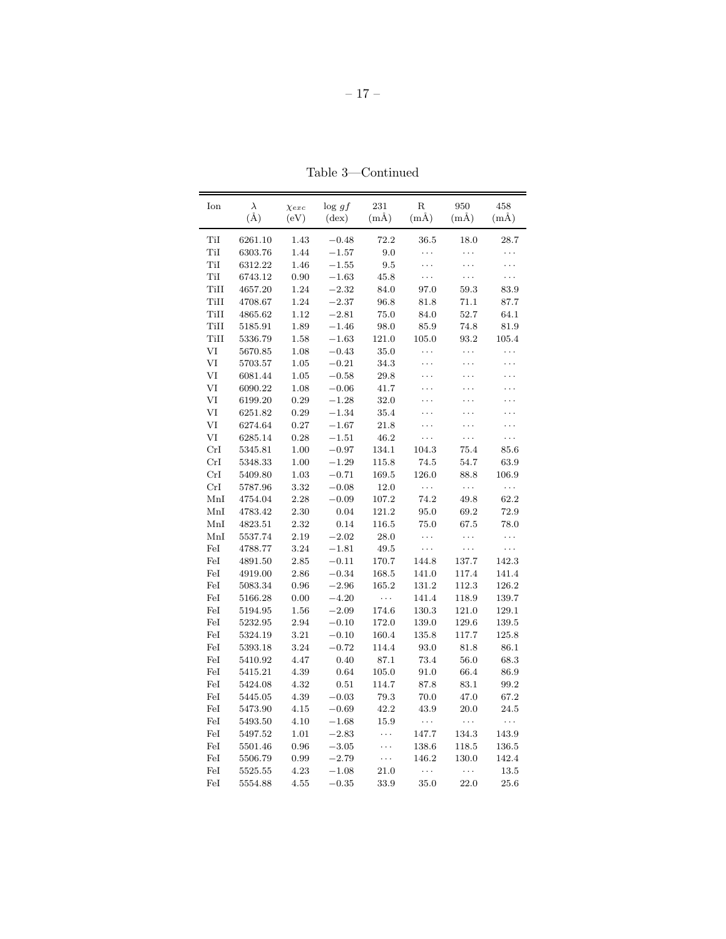| Ion  | $\lambda$ | $\chi_{exc}$ | $\log gf$      | 231      | R        | 950      | 458      |
|------|-----------|--------------|----------------|----------|----------|----------|----------|
|      | $(\AA)$   | (eV)         | $(\text{dex})$ | $(m\AA)$ | $(m\AA)$ | $(m\AA)$ | $(m\AA)$ |
| TiI  | 6261.10   | 1.43         | $-0.48$        | 72.2     | 36.5     | 18.0     | 28.7     |
| TiI  | 6303.76   | 1.44         | $-1.57$        | 9.0      | .        | .        | .        |
| TiI  | 6312.22   | 1.46         | $-1.55$        | 9.5      | .        | .        | .        |
| TiI  | 6743.12   | 0.90         | $-1.63$        | 45.8     | .        | .        | .        |
| TiII | 4657.20   | 1.24         | $-2.32$        | 84.0     | 97.0     | 59.3     | 83.9     |
| TiII | 4708.67   | 1.24         | $-2.37$        | 96.8     | 81.8     | 71.1     | 87.7     |
| TiII | 4865.62   | 1.12         | $-2.81$        | 75.0     | 84.0     | 52.7     | 64.1     |
| TiII | 5185.91   | 1.89         | $-1.46$        | 98.0     | 85.9     | 74.8     | 81.9     |
| TiII | 5336.79   | 1.58         | $-1.63$        | 121.0    | 105.0    | 93.2     | 105.4    |
| VI   | 5670.85   | 1.08         | $-0.43$        | 35.0     | .        | .        | .        |
| VI   | 5703.57   | 1.05         | $-0.21$        | 34.3     | .        | .        | .        |
| VI   | 6081.44   | 1.05         | $-0.58$        | 29.8     | .        | .        | .        |
| VI   | 6090.22   | 1.08         | $-0.06$        | 41.7     | .        | .        | .        |
| VI   | 6199.20   | 0.29         | $-1.28$        | 32.0     | .        | .        | .        |
| VI   | 6251.82   | 0.29         | $-1.34$        | 35.4     | .        | .        | .        |
| VI   | 6274.64   | 0.27         | $-1.67$        | 21.8     | .        | .        | .        |
| VI   | 6285.14   | 0.28         | $-1.51$        | 46.2     | .        | .        | .        |
| CrI  | 5345.81   | 1.00         | $-0.97$        | 134.1    | 104.3    | 75.4     | 85.6     |
| CrI  | 5348.33   | 1.00         | $-1.29$        | 115.8    | 74.5     | 54.7     | 63.9     |
| CrI  | 5409.80   | 1.03         | $-0.71$        | 169.5    | 126.0    | 88.8     | 106.9    |
| CrI  | 5787.96   | 3.32         | $-0.08$        | 12.0     | $\cdots$ | $\ldots$ | .        |
| MnI  | 4754.04   | 2.28         | $-0.09$        | 107.2    | 74.2     | 49.8     | 62.2     |
| MnI  | 4783.42   | 2.30         | 0.04           | 121.2    | 95.0     | 69.2     | 72.9     |
| MnI  | 4823.51   | 2.32         | 0.14           | 116.5    | 75.0     | 67.5     | 78.0     |
| MnI  | 5537.74   | 2.19         | $-2.02$        | 28.0     | .        | .        | .        |
| FeI  | 4788.77   | 3.24         | $-1.81$        | 49.5     | .        | .        | $\cdots$ |
| FeI  | 4891.50   | 2.85         | $-0.11$        | 170.7    | 144.8    | 137.7    | 142.3    |
| FeI  | 4919.00   | 2.86         | $-0.34$        | 168.5    | 141.0    | 117.4    | 141.4    |
| FeI  | 5083.34   | 0.96         | $-2.96$        | 165.2    | 131.2    | 112.3    | 126.2    |
| FeI  | 5166.28   | 0.00         | $-4.20\,$      | $\ldots$ | 141.4    | 118.9    | 139.7    |
| FeI  | 5194.95   | 1.56         | $-2.09$        | 174.6    | 130.3    | 121.0    | 129.1    |
| FeI  | 5232.95   | 2.94         | $-0.10$        | 172.0    | 139.0    | 129.6    | 139.5    |
| FeI  | 5324.19   | 3.21         | $-0.10$        | 160.4    | 135.8    | 117.7    | 125.8    |
| FeI  | 5393.18   | 3.24         | $-0.72$        | 114.4    | 93.0     | 81.8     | 86.1     |
| FeI  | 5410.92   | 4.47         | 0.40           | 87.1     | 73.4     | 56.0     | 68.3     |
| FeI  | 5415.21   | 4.39         | 0.64           | 105.0    | 91.0     | 66.4     | 86.9     |
| FeI  | 5424.08   | 4.32         | 0.51           | 114.7    | 87.8     | 83.1     | 99.2     |
| FeI  | 5445.05   | 4.39         | $-0.03$        | 79.3     | 70.0     | 47.0     | 67.2     |
| FeI  | 5473.90   | 4.15         | $-0.69$        | 42.2     | 43.9     | $20.0\,$ | 24.5     |
| FeI  | 5493.50   | 4.10         | $-1.68$        | 15.9     | .        | .        | .        |
| FeI  | 5497.52   | 1.01         | $-2.83$        | .        | 147.7    | 134.3    | 143.9    |
| FeI  | 5501.46   | 0.96         | $-3.05$        | .        | 138.6    | 118.5    | 136.5    |
| FeI  | 5506.79   | 0.99         | $-2.79$        | .        | 146.2    | 130.0    | 142.4    |
| FeI  | 5525.55   | 4.23         | $-1.08$        | 21.0     | $\cdots$ | .        | 13.5     |
| FeI  | 5554.88   | 4.55         | $-0.35$        | 33.9     | 35.0     | 22.0     | 25.6     |

Table 3—Continued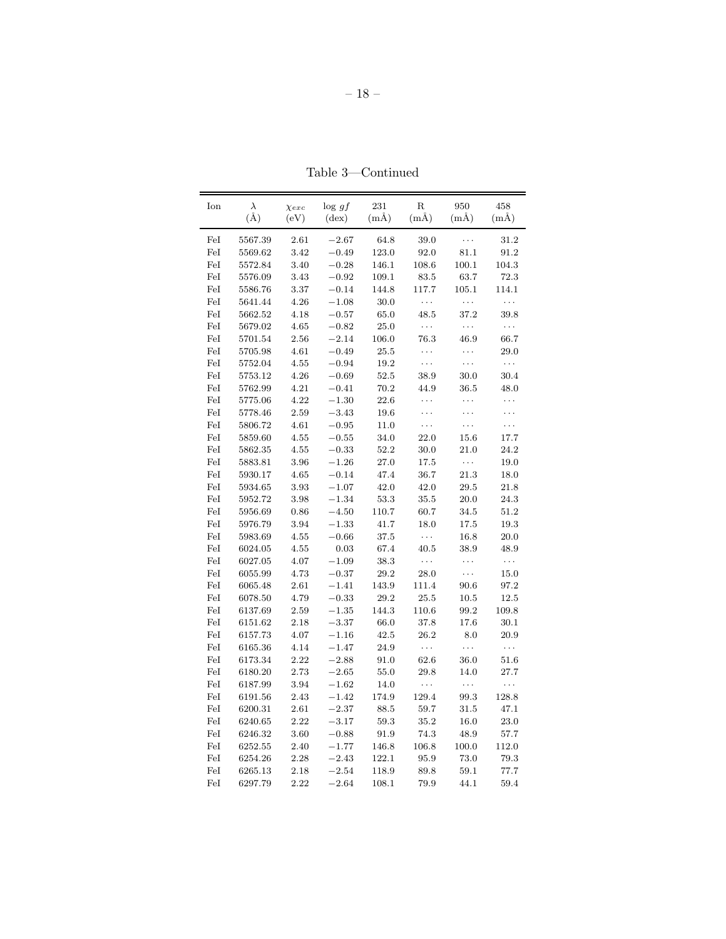| Ion | $\lambda$ | $\chi_{exc}$ | $\log gf$      | 231      | $_{\rm R}$ | 950      | 458      |
|-----|-----------|--------------|----------------|----------|------------|----------|----------|
|     | $(\AA)$   | (eV)         | $(\text{dex})$ | $(m\AA)$ | $(m\AA)$   | $(m\AA)$ | $(m\AA)$ |
| FeI | 5567.39   | 2.61         | $-2.67$        | 64.8     | 39.0       | .        | 31.2     |
| FeI | 5569.62   | 3.42         | $-0.49$        | 123.0    | 92.0       | 81.1     | 91.2     |
| FeI | 5572.84   | 3.40         | $-0.28$        | 146.1    | 108.6      | 100.1    | 104.3    |
| FeI | 5576.09   | 3.43         | $-0.92$        | 109.1    | 83.5       | 63.7     | 72.3     |
| FeI | 5586.76   | 3.37         | $-0.14$        | 144.8    | 117.7      | 105.1    | 114.1    |
| FeI | 5641.44   | 4.26         | $-1.08$        | 30.0     | $\ldots$   | $\ldots$ | $\ldots$ |
| FeI | 5662.52   | 4.18         | $-0.57$        | 65.0     | 48.5       | 37.2     | 39.8     |
| FeI | 5679.02   | 4.65         | $-0.82$        | 25.0     | $\ldots$   | .        | $\ldots$ |
| FeI | 5701.54   | 2.56         | $-2.14$        | 106.0    | 76.3       | 46.9     | 66.7     |
| FeI | 5705.98   | 4.61         | $-0.49$        | 25.5     | .          | .        | 29.0     |
| FeI | 5752.04   | 4.55         | $-0.94$        | 19.2     | $\cdots$   | .        | $\ldots$ |
| FeI | 5753.12   | 4.26         | $-0.69$        | 52.5     | 38.9       | 30.0     | 30.4     |
| FeI | 5762.99   | 4.21         | $-0.41$        | 70.2     | 44.9       | 36.5     | 48.0     |
| FeI | 5775.06   | 4.22         | $-1.30$        | 22.6     | .          | .        | $\ldots$ |
| FeI | 5778.46   | 2.59         | $-3.43$        | 19.6     | .          | .        | .        |
| FeI | 5806.72   | 4.61         | $-0.95$        | 11.0     | .          | .        | .        |
| FeI | 5859.60   | 4.55         | $-0.55$        | 34.0     | 22.0       | 15.6     | 17.7     |
| FeI | 5862.35   | 4.55         | $-0.33$        | 52.2     | 30.0       | 21.0     | 24.2     |
| FeI | 5883.81   | 3.96         | $-1.26$        | 27.0     | 17.5       | $\ldots$ | 19.0     |
| FeI | 5930.17   | 4.65         | $-0.14$        | 47.4     | 36.7       | 21.3     | 18.0     |
| FeI | 5934.65   | 3.93         | $-1.07$        | 42.0     | 42.0       | 29.5     | 21.8     |
| FeI | 5952.72   | 3.98         | $-1.34$        | 53.3     | 35.5       | 20.0     | 24.3     |
| FeI | 5956.69   | 0.86         | $-4.50$        | 110.7    | 60.7       | $34.5\,$ | 51.2     |
| FeI | 5976.79   | 3.94         | $-1.33$        | 41.7     | 18.0       | 17.5     | 19.3     |
| FeI | 5983.69   | 4.55         | $-0.66$        | 37.5     | $\ldots$   | 16.8     | 20.0     |
| FeI | 6024.05   | 4.55         | 0.03           | 67.4     | 40.5       | 38.9     | 48.9     |
| FeI | 6027.05   | 4.07         | $-1.09$        | 38.3     | $\ldots$   | .        | $\ldots$ |
| FeI | 6055.99   | 4.73         | $-0.37$        | 29.2     | $28.0\,$   | .        | 15.0     |
| FeI | 6065.48   | 2.61         | $-1.41$        | 143.9    | 111.4      | 90.6     | 97.2     |
| FeI | 6078.50   | 4.79         | $-0.33$        | 29.2     | 25.5       | 10.5     | 12.5     |
| FeI | 6137.69   | 2.59         | $-1.35$        | 144.3    | 110.6      | 99.2     | 109.8    |
| FeI | 6151.62   | 2.18         | $-3.37$        | 66.0     | 37.8       | 17.6     | 30.1     |
| FeI | 6157.73   | 4.07         | $-1.16$        | 42.5     | 26.2       | 8.0      | 20.9     |
| FeI | 6165.36   | 4.14         | $-1.47$        | 24.9     | $\cdots$   | $\cdots$ | $\ldots$ |
| FeI | 6173.34   | 2.22         | $-2.88$        | $91.0\,$ | 62.6       | 36.0     | 51.6     |
| FeI | 6180.20   | 2.73         | $-2.65$        | 55.0     | 29.8       | 14.0     | 27.7     |
| FeI | 6187.99   | 3.94         | $-1.62$        | 14.0     | $\cdots$   | .        | $\ldots$ |
| FeI | 6191.56   | 2.43         | $-1.42$        | 174.9    | 129.4      | 99.3     | 128.8    |
| FeI | 6200.31   | 2.61         | $-2.37$        | 88.5     | 59.7       | 31.5     | 47.1     |
| FeI | 6240.65   | 2.22         | $-3.17$        | 59.3     | 35.2       | 16.0     | 23.0     |
| FeI | 6246.32   | 3.60         | $-0.88$        | $91.9\,$ | 74.3       | 48.9     | 57.7     |
| FeI | 6252.55   | 2.40         | $-1.77$        | 146.8    | 106.8      | 100.0    | 112.0    |
| FeI | 6254.26   | 2.28         | $-2.43$        | 122.1    | 95.9       | 73.0     | 79.3     |
| FeI | 6265.13   | 2.18         | $-2.54$        | 118.9    | 89.8       | 59.1     | 77.7     |
| FeI | 6297.79   | 2.22         | $-2.64$        | 108.1    | 79.9       | 44.1     | 59.4     |

Table 3—Continued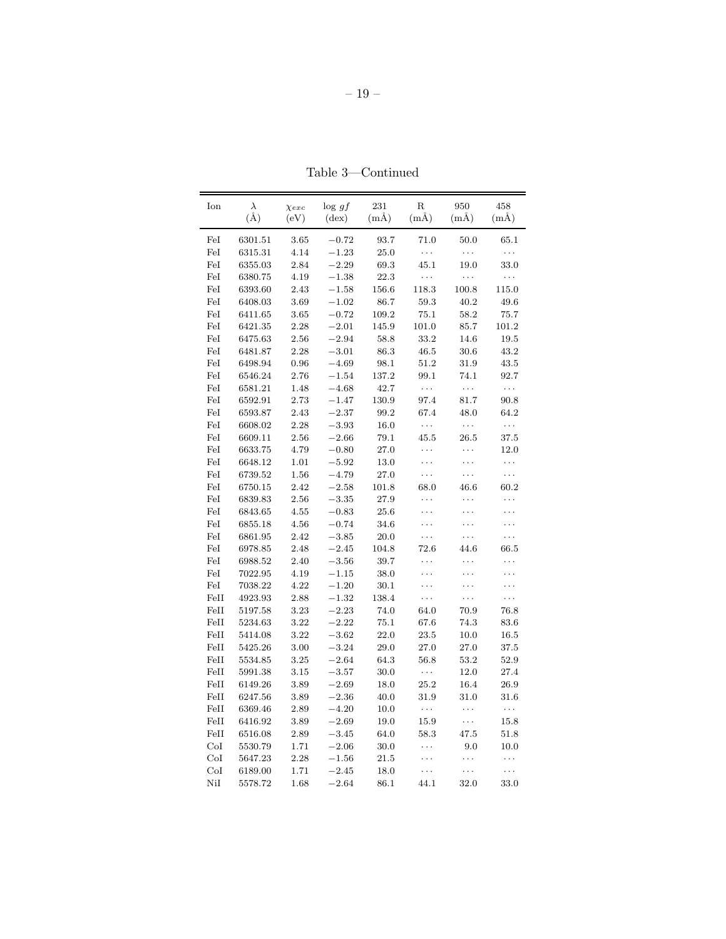| Ion  | $\lambda$ | $\chi_{exc}$ | $\log gf$      | 231      | $_{\rm R}$ | 950      | 458      |
|------|-----------|--------------|----------------|----------|------------|----------|----------|
|      | $(\AA)$   | (eV)         | $(\text{dex})$ | $(m\AA)$ | $(m\AA)$   | $(m\AA)$ | $(m\AA)$ |
| FeI  | 6301.51   | 3.65         | $-0.72$        | 93.7     | 71.0       | 50.0     | 65.1     |
| FeI  | 6315.31   | 4.14         | $-1.23$        | 25.0     | $\ldots$   | $\ldots$ | .        |
| FeI  | 6355.03   | 2.84         | $-2.29$        | 69.3     | 45.1       | 19.0     | 33.0     |
| FeI  | 6380.75   | 4.19         | $-1.38$        | 22.3     | $\ldots$   | $\ldots$ | $\ldots$ |
| FeI  | 6393.60   | 2.43         | $-1.58$        | 156.6    | 118.3      | 100.8    | 115.0    |
| FeI  | 6408.03   | 3.69         | $-1.02$        | 86.7     | 59.3       | 40.2     | 49.6     |
| FeI  | 6411.65   | 3.65         | $-0.72$        | 109.2    | 75.1       | 58.2     | 75.7     |
| FeI  | 6421.35   | 2.28         | $-2.01$        | 145.9    | 101.0      | 85.7     | 101.2    |
| FeI  | 6475.63   | 2.56         | $-2.94$        | 58.8     | 33.2       | 14.6     | 19.5     |
| FeI  | 6481.87   | 2.28         | $-3.01$        | 86.3     | 46.5       | 30.6     | 43.2     |
| FeI  | 6498.94   | 0.96         | $-4.69$        | 98.1     | 51.2       | 31.9     | 43.5     |
| FeI  | 6546.24   | 2.76         | $-1.54$        | 137.2    | 99.1       | 74.1     | 92.7     |
| FeI  | 6581.21   | 1.48         | $-4.68$        | 42.7     | $\cdots$   | $\ldots$ | $\ldots$ |
| FeI  | 6592.91   | 2.73         | $-1.47$        | 130.9    | 97.4       | 81.7     | 90.8     |
| FeI  | 6593.87   | $2.43\,$     | $-2.37$        | 99.2     | 67.4       | 48.0     | 64.2     |
| FeI  | 6608.02   | 2.28         | $-3.93$        | 16.0     | $\cdots$   | $\ldots$ | $\ldots$ |
| FeI  | 6609.11   | 2.56         | $-2.66$        | 79.1     | 45.5       | 26.5     | 37.5     |
| FeI  | 6633.75   | 4.79         | $-0.80$        | 27.0     | .          | .        | 12.0     |
| FeI  | 6648.12   | 1.01         | $-5.92$        | 13.0     | .          | .        | $\ldots$ |
| FeI  | 6739.52   | 1.56         | $-4.79$        | 27.0     | .          | .        | $\cdots$ |
| FeI  | 6750.15   | 2.42         | $-2.58$        | 101.8    | 68.0       | 46.6     | 60.2     |
| FeI  | 6839.83   | 2.56         | $-3.35$        | 27.9     | .          | .        | .        |
| FeI  | 6843.65   | 4.55         | $-0.83$        | 25.6     | .          | .        | .        |
| FeI  | 6855.18   | 4.56         | $-0.74$        | 34.6     | .          | .        | .        |
| FeI  | 6861.95   | 2.42         | $-3.85$        | 20.0     | .          | .        | .        |
| FeI  | 6978.85   | 2.48         | $-2.45$        | 104.8    | 72.6       | 44.6     | 66.5     |
| FeI  | 6988.52   | 2.40         | $-3.56$        | 39.7     | .          | .        | .        |
| FeI  | 7022.95   | 4.19         | $-1.15$        | 38.0     | .          | .        | .        |
| FeI  | 7038.22   | 4.22         | $-1.20$        | 30.1     | .          | .        | .        |
| FeII | 4923.93   | 2.88         | $-1.32$        | 138.4    | $\cdots$   | .        | $\cdots$ |
| FeII | 5197.58   | 3.23         | $-2.23$        | 74.0     | 64.0       | 70.9     | 76.8     |
| FeII | 5234.63   | 3.22         | $-2.22$        | 75.1     | 67.6       | 74.3     | 83.6     |
| FeII | 5414.08   | 3.22         | $-3.62$        | 22.0     | 23.5       | 10.0     | 16.5     |
| FeII | 5425.26   | 3.00         | $-3.24$        | 29.0     | 27.0       | 27.0     | 37.5     |
| FeII | 5534.85   | 3.25         | $-2.64$        | 64.3     | 56.8       | 53.2     | 52.9     |
| FeII | 5991.38   | 3.15         | $-3.57$        | 30.0     | $\ldots$   | 12.0     | 27.4     |
| FeII | 6149.26   | 3.89         | $-2.69$        | 18.0     | $25.2\,$   | 16.4     | 26.9     |
| FeII | 6247.56   | 3.89         | $-2.36$        | 40.0     | 31.9       | 31.0     | 31.6     |
| FeII | 6369.46   | 2.89         | $-4.20$        | 10.0     | $\ldots$   | $\cdots$ | $\ldots$ |
| FeII | 6416.92   | 3.89         | $-2.69$        | 19.0     | $15.9\,$   | $\cdots$ | 15.8     |
| FeII | 6516.08   | 2.89         | $-3.45$        | 64.0     | 58.3       | 47.5     | 51.8     |
| CoI  | 5530.79   | 1.71         | $-2.06$        | 30.0     | .          | 9.0      | 10.0     |
| CoI  | 5647.23   | 2.28         | $-1.56$        | 21.5     | .          | .        | $\cdots$ |
| CoI  | 6189.00   | 1.71         | $-2.45$        | 18.0     | .          | .        | .        |
| NiI  | 5578.72   | 1.68         | $-2.64$        | 86.1     | 44.1       | 32.0     | 33.0     |

Table 3—Continued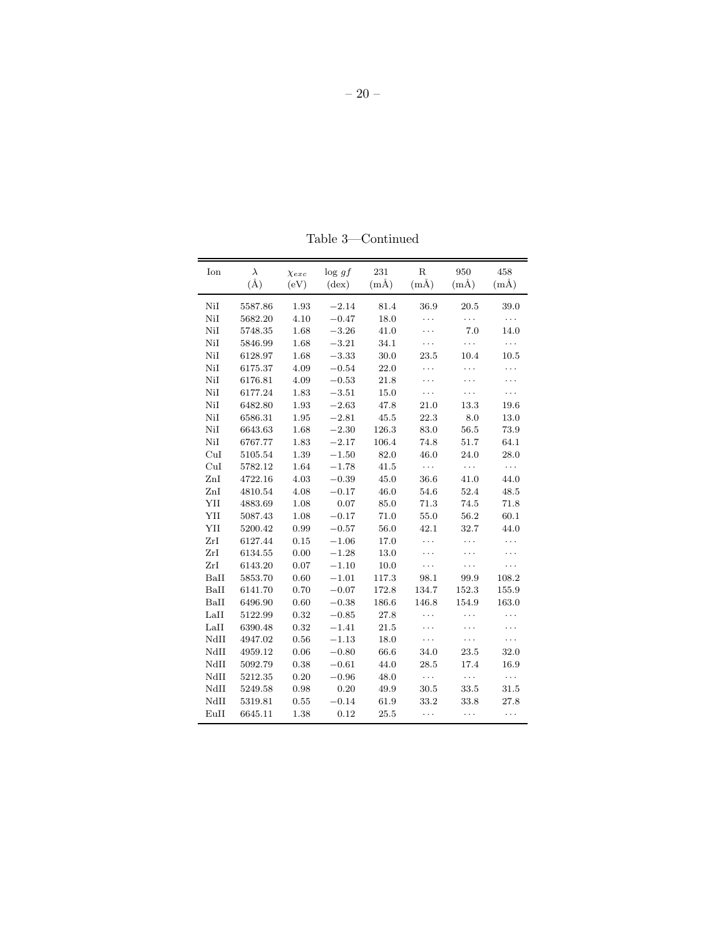| Ion       | $\lambda$ | $\chi_{exc}$ | $\log gf$      | 231      | $\mathbf R$ | 950      | 458      |
|-----------|-----------|--------------|----------------|----------|-------------|----------|----------|
|           | $(\AA)$   | (eV)         | $(\text{dex})$ | $(m\AA)$ | $(m\AA)$    | $(m\AA)$ | $(m\AA)$ |
| NiI       | 5587.86   | 1.93         | $-2.14$        | 81.4     | 36.9        | 20.5     | 39.0     |
| NiI       | 5682.20   | 4.10         | $-0.47$        | 18.0     | .           | .        | .        |
| $\rm NiI$ | 5748.35   | 1.68         | $-3.26$        | 41.0     | .           | 7.0      | 14.0     |
| $\rm NiI$ | 5846.99   | 1.68         | $-3.21$        | 34.1     | .           | .        | .        |
| NiI       | 6128.97   | $1.68\,$     | $-3.33$        | $30.0\,$ | 23.5        | 10.4     | 10.5     |
| NiI       | 6175.37   | 4.09         | $-0.54$        | $22.0\,$ | .           | .        | .        |
| NiI       | 6176.81   | 4.09         | $-0.53$        | 21.8     | .           | .        | .        |
| NiI       | 6177.24   | 1.83         | $-3.51$        | 15.0     | .           | .        | .        |
| NiI       | 6482.80   | 1.93         | $-2.63$        | 47.8     | 21.0        | 13.3     | 19.6     |
| NiI       | 6586.31   | 1.95         | $-2.81$        | 45.5     | 22.3        | 8.0      | 13.0     |
| NiI       | 6643.63   | 1.68         | $-2.30$        | 126.3    | 83.0        | 56.5     | 73.9     |
| NiI       | 6767.77   | 1.83         | $-2.17$        | 106.4    | 74.8        | 51.7     | 64.1     |
| CuI       | 5105.54   | $1.39\,$     | $-1.50$        | $82.0\,$ | $46.0\,$    | 24.0     | 28.0     |
| CuI       | 5782.12   | 1.64         | $-1.78$        | 41.5     | $\ldots$    | $\ldots$ | .        |
| $\rm ZnI$ | 4722.16   | $4.03\,$     | $-0.39$        | $45.0\,$ | $36.6\,$    | 41.0     | 44.0     |
| ZnI       | 4810.54   | $4.08\,$     | $-0.17$        | $46.0\,$ | 54.6        | 52.4     | $48.5\,$ |
| YII       | 4883.69   | 1.08         | 0.07           | 85.0     | 71.3        | 74.5     | 71.8     |
| YII       | 5087.43   | 1.08         | $\!-0.17$      | 71.0     | 55.0        | 56.2     | 60.1     |
| YII       | 5200.42   | 0.99         | $-0.57$        | 56.0     | 42.1        | 32.7     | 44.0     |
| ZrI       | 6127.44   | 0.15         | $-1.06$        | 17.0     | .           | .        | .        |
| ZrI       | 6134.55   | 0.00         | $-1.28$        | 13.0     | .           | .        | .        |
| ZrI       | 6143.20   | 0.07         | $-1.10$        | 10.0     | .           | .        | .        |
| BaII      | 5853.70   | 0.60         | $-1.01$        | 117.3    | 98.1        | 99.9     | 108.2    |
| BaII      | 6141.70   | 0.70         | $\!-0.07$      | 172.8    | 134.7       | 152.3    | 155.9    |
| BaII      | 6496.90   | $0.60\,$     | $-0.38$        | 186.6    | 146.8       | 154.9    | 163.0    |
| LaII      | 5122.99   | 0.32         | $-0.85$        | 27.8     | .           | .        | .        |
| LaII      | 6390.48   | 0.32         | $-1.41$        | 21.5     | .           | .        | .        |
| NdII      | 4947.02   | 0.56         | $-1.13$        | 18.0     | .           | .        | .        |
| NdII      | 4959.12   | 0.06         | $-0.80$        | 66.6     | 34.0        | 23.5     | 32.0     |
| NdII      | 5092.79   | 0.38         | $-0.61$        | 44.0     | 28.5        | 17.4     | 16.9     |
| NdII      | 5212.35   | 0.20         | $-0.96$        | 48.0     | $\ldots$    | $\ldots$ | $\ldots$ |
| NdII      | 5249.58   | 0.98         | 0.20           | 49.9     | 30.5        | 33.5     | 31.5     |
| NdII      | 5319.81   | 0.55         | $-0.14$        | 61.9     | 33.2        | 33.8     | 27.8     |
| EuII      | 6645.11   | 1.38         | 0.12           | 25.5     | .           | .        | .        |

Table 3—Continued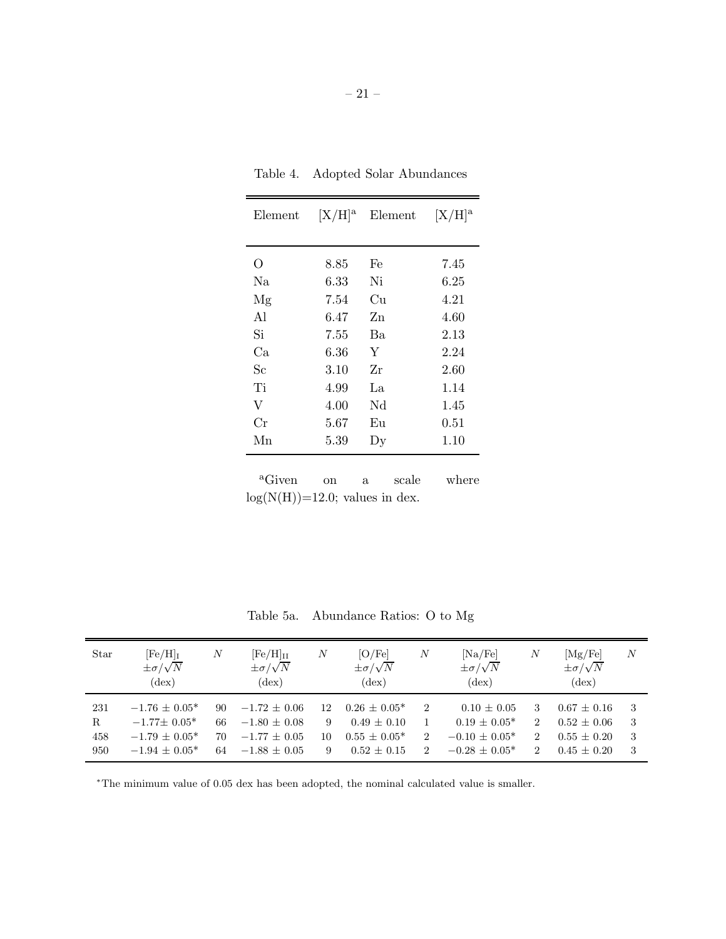| Element  | $[X/H]^a$ | Element                | $[X/H]^a$  |
|----------|-----------|------------------------|------------|
|          |           |                        |            |
| O        | 8.85      | Fe                     | 7.45       |
| Na       | 6.33      | Ni                     | 6.25       |
| Mg       | 7.54      | Cu                     | 4.21       |
| A1       | 6.47      | Zn                     | 4.60       |
| Si       | 7.55      | B <sub>a</sub>         | 2.13       |
| Ca       | 6.36      | Y                      | 2.24       |
| $\rm Sc$ | 3.10      | Zr                     | 2.60       |
| Ti       | 4.99      | La.                    | 1.14       |
| V        | 4.00      | Nd                     | 1.45       |
| Сr       | 5.67      | Eu                     | $\rm 0.51$ |
| Мn       | 5.39      | $\mathbf{D}\mathbf{y}$ | 1.10       |

Table 4. Adopted Solar Abundances

<sup>a</sup>Given on a scale where  $log(N(H))=12.0$ ; values in dex.

Table 5a. Abundance Ratios: O to Mg

| Star                             | $[Fe/H]_I$<br>$\pm \sigma/\sqrt{N}$<br>$(\text{dex})$                           | N                    | $[{\rm Fe/H}]_{\rm II}$<br>$\pm \sigma/\sqrt{N}$<br>$(\text{dex})$     | $_{N}$             | [O/Fe]<br>$\pm \sigma/\sqrt{N}$<br>$(\text{dex})$                       | $\boldsymbol{N}$                      | [Na/Fe]<br>$\pm \sigma/\sqrt{N}$<br>$(\text{dex})$                            | N                                                                                 | [Mg/Fe]<br>$\pm \sigma/\sqrt{N}$<br>$(\text{dex})$                   | $\boldsymbol{N}$     |
|----------------------------------|---------------------------------------------------------------------------------|----------------------|------------------------------------------------------------------------|--------------------|-------------------------------------------------------------------------|---------------------------------------|-------------------------------------------------------------------------------|-----------------------------------------------------------------------------------|----------------------------------------------------------------------|----------------------|
| 231<br>$\mathbf R$<br>458<br>950 | $-1.76 \pm 0.05^*$<br>$-1.77\pm 0.05*$<br>$-1.79 \pm 0.05^*$<br>$-1.94 + 0.05*$ | 90<br>66<br>70<br>64 | $-1.72 \pm 0.06$<br>$-1.80 + 0.08$<br>$-1.77 + 0.05$<br>$-1.88 + 0.05$ | 12<br>9<br>10<br>9 | $0.26 \pm 0.05^*$<br>$0.49 \pm 0.10$<br>$0.55 + 0.05*$<br>$0.52 + 0.15$ | $\overline{2}$<br>$\overline{2}$<br>2 | $0.10 \pm 0.05$<br>$0.19 \pm 0.05^*$<br>$-0.10 \pm 0.05^*$<br>$-0.28 + 0.05*$ | 3<br>$\overline{2}$<br>$\mathcal{D}_{\mathcal{L}}$<br>$\mathcal{D}_{\mathcal{L}}$ | $0.67 \pm 0.16$<br>$0.52 \pm 0.06$<br>$0.55 + 0.20$<br>$0.45 + 0.20$ | -3<br>-3<br>-3<br>-3 |

<sup>∗</sup>The minimum value of 0.05 dex has been adopted, the nominal calculated value is smaller.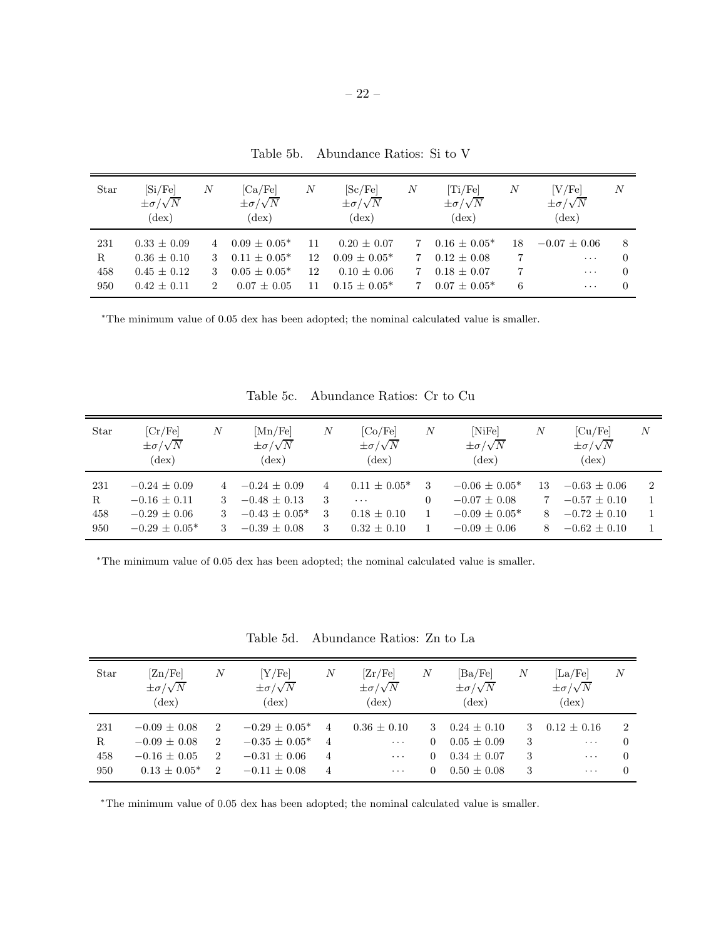| Star       | [Si/Fe]<br>$\pm \sigma/\sqrt{N}$<br>$(\text{dex})$ | Ν | [Ca/Fe]<br>$\pm \sigma/\sqrt{N}$<br>$(\text{dex})$ | $\boldsymbol{N}$ | [Sc/Fe]<br>$\pm \sigma/\sqrt{N}$<br>$(\text{dex})$ | $\boldsymbol{N}$ | [Ti/Fe]<br>$\pm \sigma/\sqrt{N}$<br>$(\text{dex})$ | Ν  | [V/Fe]<br>$\pm \sigma/\sqrt{N}$<br>$(\text{dex})$ | $\boldsymbol{N}$     |
|------------|----------------------------------------------------|---|----------------------------------------------------|------------------|----------------------------------------------------|------------------|----------------------------------------------------|----|---------------------------------------------------|----------------------|
| 231<br>R   | $0.33 + 0.09$<br>$0.36 \pm 0.10$                   |   | $0.09 + 0.05*$<br>$0.11 + 0.05*$                   | 12               | $0.20 + 0.07$<br>$0.09 + 0.05*$                    |                  | $0.16 \pm 0.05^*$<br>$0.12 \pm 0.08$               | 18 | $-0.07 \pm 0.06$<br>$\cdots$                      | 8<br>$\Omega$        |
| 458<br>950 | $0.45 + 0.12$<br>$0.42 \pm 0.11$                   | 3 | $0.05 + 0.05*$<br>$0.07 + 0.05$                    | 12<br>11         | $0.10 + 0.06$<br>$0.15 + 0.05*$                    |                  | $0.18 + 0.07$<br>$0.07 + 0.05*$                    | 6  | $\cdots$<br>$\cdots$                              | $\Omega$<br>$\Omega$ |

Table 5b. Abundance Ratios: Si to V

<sup>∗</sup>The minimum value of 0.05 dex has been adopted; the nominal calculated value is smaller.

| Star | [Cr/Fe]<br>$\pm \sigma/\sqrt{N}$<br>$(\text{dex})$ | $\boldsymbol{N}$ | [Mn/Fe]<br>$\pm \sigma/\sqrt{N}$<br>$(\mathrm{dex})$ | $\boldsymbol{N}$ | [Co/Fe]<br>$\pm \sigma/\sqrt{N}$<br>$(\text{dex})$ | $\boldsymbol{N}$ | [NiFe]<br>$\pm \sigma/\sqrt{N}$<br>$(\text{dex})$ | N  | $\left[ Cu/Fe \right]$<br>$\pm \sigma/\sqrt{N}$<br>$(\text{dex})$ | $\boldsymbol{N}$ |
|------|----------------------------------------------------|------------------|------------------------------------------------------|------------------|----------------------------------------------------|------------------|---------------------------------------------------|----|-------------------------------------------------------------------|------------------|
| 231  | $-0.24 + 0.09$                                     |                  | $-0.24 + 0.09$                                       | 4                | $0.11 \pm 0.05^*$                                  | 3                | $-0.06 + 0.05*$                                   | 13 | $-0.63 \pm 0.06$                                                  | $\overline{2}$   |
| R    | $-0.16 \pm 0.11$                                   | 3                | $-0.48 \pm 0.13$                                     | 3                | $\cdots$                                           | 0                | $-0.07 \pm 0.08$                                  |    | $-0.57 \pm 0.10$                                                  |                  |
| 458  | $-0.29 + 0.06$                                     | 3                | $-0.43 \pm 0.05^*$                                   | 3                | $0.18 + 0.10$                                      |                  | $-0.09 \pm 0.05^*$                                |    | $-0.72 \pm 0.10$                                                  |                  |
| 950  | $-0.29 + 0.05*$                                    | 3                | $-0.39 \pm 0.08$                                     | 3                | $0.32 \pm 0.10$                                    |                  | $-0.09 \pm 0.06$                                  |    | $-0.62 \pm 0.10$                                                  |                  |

Table 5c. Abundance Ratios: Cr to Cu

<sup>∗</sup>The minimum value of 0.05 dex has been adopted; the nominal calculated value is smaller.

| Star | [Zn/Fe]<br>$\pm \sigma/\sqrt{N}$<br>$(\text{dex})$ | N              | Y/Fel<br>$\pm \sigma/\sqrt{N}$<br>$(\text{dex})$ | N              | [Zr/Fe]<br>$\pm \sigma/\sqrt{N}$<br>$(\text{dex})$ | $\boldsymbol{N}$ | [Ba/Fe]<br>$\pm \sigma/\sqrt{N}$<br>$(\text{dex})$ | N  | [La/Fe]<br>$\pm \sigma/\sqrt{N}$<br>$(\text{dex})$ | $\boldsymbol{N}$ |
|------|----------------------------------------------------|----------------|--------------------------------------------------|----------------|----------------------------------------------------|------------------|----------------------------------------------------|----|----------------------------------------------------|------------------|
| 231  | $-0.09 \pm 0.08$                                   | $\overline{2}$ | $-0.29 \pm 0.05^*$                               | 4              | $0.36 + 0.10$                                      | 3                | $0.24 \pm 0.10$                                    | 3. | $0.12 \pm 0.16$                                    | $\overline{2}$   |
| R    | $-0.09 \pm 0.08$                                   | $\overline{2}$ | $-0.35 \pm 0.05^*$                               | $\overline{4}$ | $\cdots$                                           | $\left( \right)$ | $0.05 \pm 0.09$                                    | 3  | $\ddots$                                           | $\Omega$         |
| 458  | $-0.16 \pm 0.05$                                   | $\overline{2}$ | $-0.31 \pm 0.06$                                 | 4              | $\cdots$                                           | $\theta$         | $0.34 \pm 0.07$                                    | 3  | $\ldots$                                           | $\Omega$         |
| 950  | $0.13 \pm 0.05^*$                                  | $\overline{2}$ | $-0.11 \pm 0.08$                                 | 4              | $\cdots$                                           | $\theta$         | $0.50 \pm 0.08$                                    | 3  | $\cdots$                                           | 0                |

Table 5d. Abundance Ratios: Zn to La

<sup>∗</sup>The minimum value of 0.05 dex has been adopted; the nominal calculated value is smaller.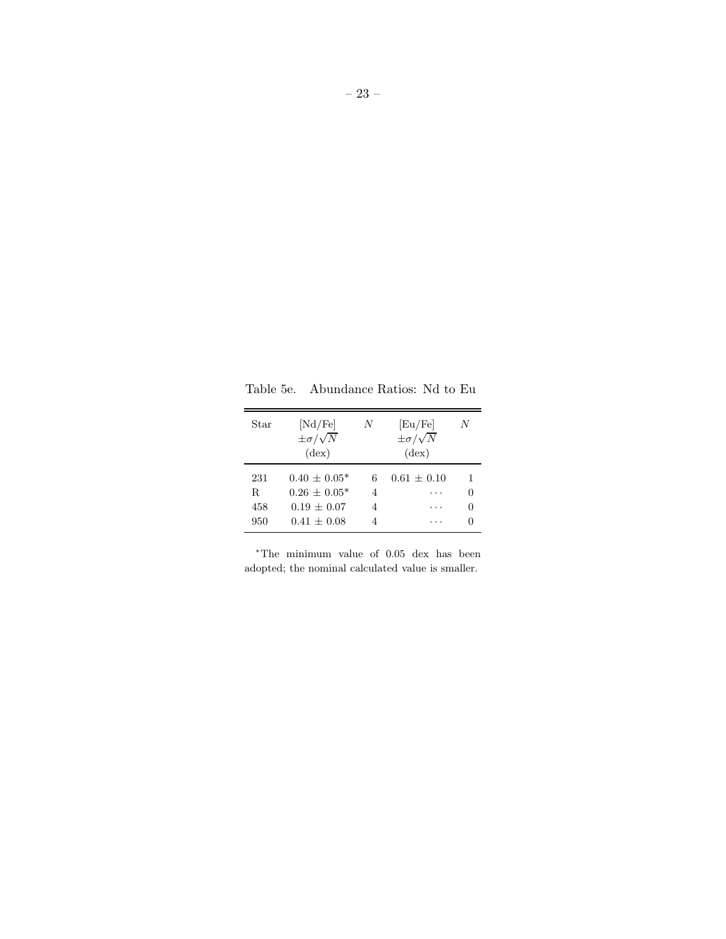Table 5e. Abundance Ratios: Nd to Eu

| Star                    | [Nd/Fe]<br>$\pm \sigma/\sqrt{N}$<br>$(\text{dex})$                 | N           | [Eu/Fe]<br>$\pm \sigma/\sqrt{N}$<br>$(\text{dex})$ | N |
|-------------------------|--------------------------------------------------------------------|-------------|----------------------------------------------------|---|
| 231<br>R.<br>458<br>950 | $0.40 + 0.05*$<br>$0.26 + 0.05*$<br>$0.19 + 0.07$<br>$0.41 + 0.08$ | 6<br>4<br>4 | $0.61 + 0.10$                                      |   |

<sup>∗</sup>The minimum value of 0.05 dex has been adopted; the nominal calculated value is smaller.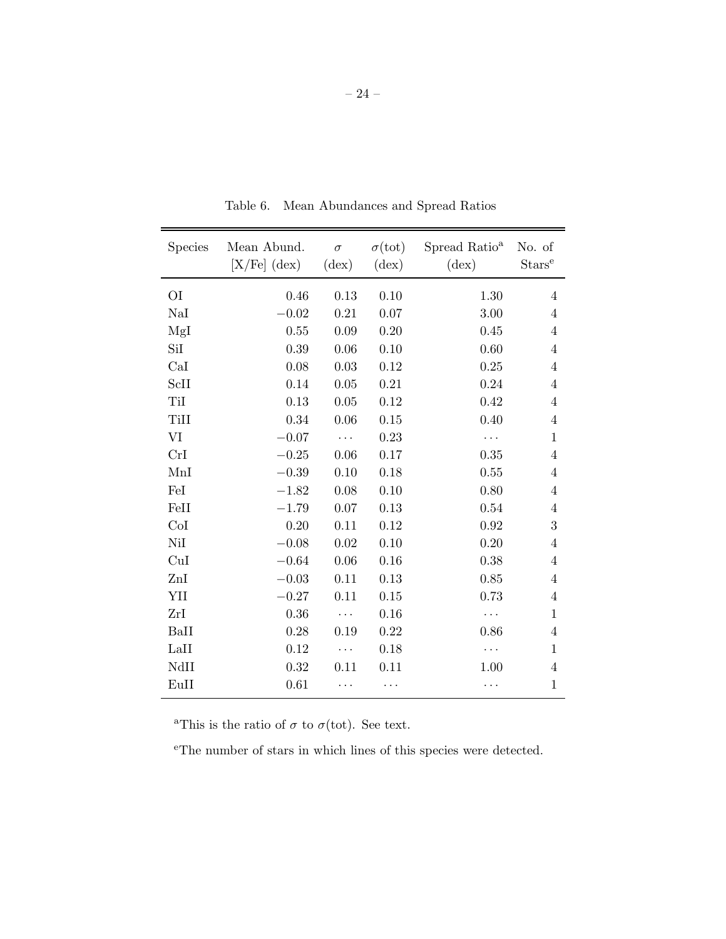| <b>Species</b> | Mean Abund.<br>$[X/Fe]$ (dex) | $\sigma$<br>$(\text{dex})$ | $\sigma(\text{tot})$<br>$(\text{dex})$ | Spread Ratio <sup>a</sup><br>$(\text{dex})$ | No. of<br>Stars <sup>e</sup> |
|----------------|-------------------------------|----------------------------|----------------------------------------|---------------------------------------------|------------------------------|
| O <sub>I</sub> | 0.46                          | 0.13                       | 0.10                                   | 1.30                                        | $\overline{4}$               |
| NaI            | $-0.02$                       | 0.21                       | 0.07                                   | 3.00                                        | $\overline{4}$               |
| MgI            | 0.55                          | 0.09                       | 0.20                                   | 0.45                                        | $\overline{4}$               |
| SiI            | 0.39                          | 0.06                       | 0.10                                   | 0.60                                        | $\overline{4}$               |
| CaI            | 0.08                          | 0.03                       | 0.12                                   | 0.25                                        | $\overline{4}$               |
| ScII           | 0.14                          | 0.05                       | 0.21                                   | 0.24                                        | $\overline{4}$               |
| TiI            | 0.13                          | 0.05                       | 0.12                                   | 0.42                                        | 4                            |
| TiII           | 0.34                          | 0.06                       | 0.15                                   | 0.40                                        | $\overline{4}$               |
| VI             | $-0.07$                       |                            | 0.23                                   |                                             | $\mathbf{1}$                 |
| CrI            | $-0.25$                       | 0.06                       | 0.17                                   | 0.35                                        | $\overline{4}$               |
| MnI            | $-0.39$                       | 0.10                       | 0.18                                   | 0.55                                        | $\overline{4}$               |
| FeI            | $-1.82$                       | 0.08                       | 0.10                                   | 0.80                                        | $\overline{4}$               |
| FeII           | $-1.79$                       | 0.07                       | 0.13                                   | 0.54                                        | $\overline{4}$               |
| CoI            | 0.20                          | 0.11                       | 0.12                                   | 0.92                                        | 3                            |
| NiI            | $-0.08$                       | 0.02                       | 0.10                                   | 0.20                                        | $\overline{4}$               |
| CuI            | $-0.64$                       | 0.06                       | 0.16                                   | 0.38                                        | $\overline{4}$               |
| $\rm ZnI$      | $-0.03$                       | 0.11                       | 0.13                                   | 0.85                                        | $\overline{4}$               |
| YII            | $-0.27$                       | 0.11                       | 0.15                                   | 0.73                                        | $\overline{4}$               |
| ZrI            | 0.36                          | $\cdots$                   | 0.16                                   |                                             | $\mathbf{1}$                 |
| BaII           | 0.28                          | 0.19                       | 0.22                                   | 0.86                                        | $\overline{4}$               |
| LaII           | 0.12                          | $\ddotsc$                  | 0.18                                   |                                             | $\mathbf{1}$                 |
| NdII           | 0.32                          | 0.11                       | 0.11                                   | 1.00                                        | $\overline{4}$               |
| EuII           | 0.61                          |                            |                                        |                                             | $\mathbf{1}$                 |

Table 6. Mean Abundances and Spread Ratios

<sup>a</sup>This is the ratio of  $\sigma$  to  $\sigma$ (tot). See text.

<sup>e</sup>The number of stars in which lines of this species were detected.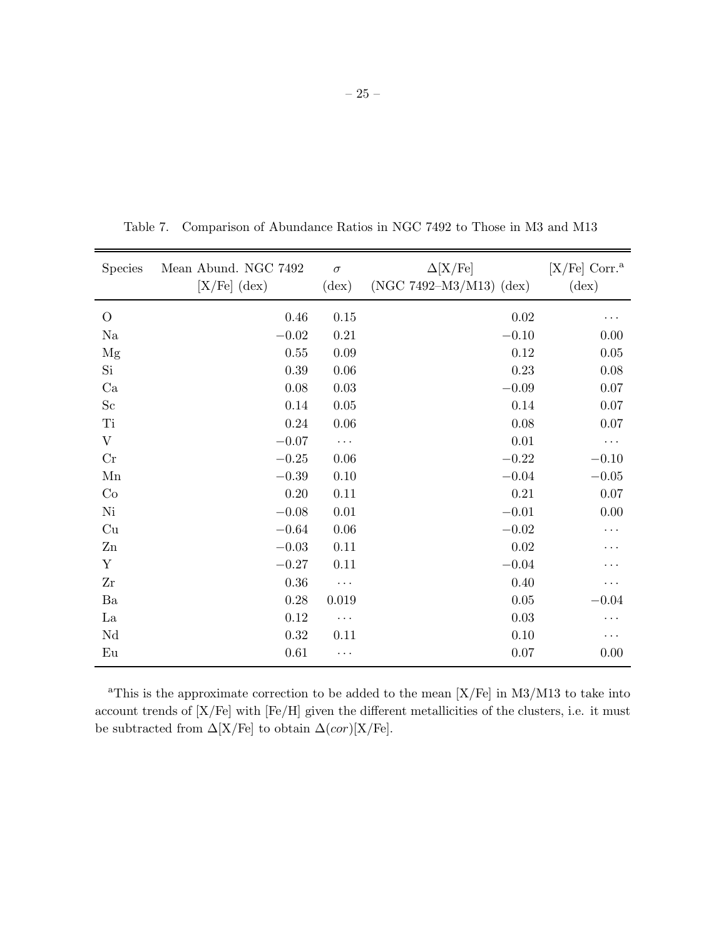– 25 –

| <b>Species</b> | Mean Abund. NGC 7492<br>$[X/Fe]$ (dex) | $\sigma$<br>$(\text{dex})$ | $\Delta$ [X/Fe]<br>$(NGC 7492-M3/M13)$ (dex) | $[X/Fe]$ Corr. <sup>a</sup><br>$(\text{dex})$ |
|----------------|----------------------------------------|----------------------------|----------------------------------------------|-----------------------------------------------|
| $\overline{O}$ | 0.46                                   | 0.15                       | $0.02\,$                                     |                                               |
| Na             | $-0.02\,$                              | 0.21                       | $-0.10$                                      | 0.00                                          |
| Mg             | $0.55\,$                               | 0.09                       | 0.12                                         | 0.05                                          |
| Si             | 0.39                                   | 0.06                       | 0.23                                         | 0.08                                          |
| Ca             | $0.08\,$                               | 0.03                       | $-0.09$                                      | 0.07                                          |
| Sc             | 0.14                                   | $0.05\,$                   | 0.14                                         | 0.07                                          |
| Ti             | 0.24                                   | 0.06                       | 0.08                                         | 0.07                                          |
| V              | $-0.07$                                | $\ddots$                   | 0.01                                         | $\cdots$                                      |
| Cr             | $-0.25$                                | 0.06                       | $-0.22$                                      | $-0.10$                                       |
| Mn             | $-0.39\,$                              | 0.10                       | $-0.04$                                      | $-0.05\,$                                     |
| Co             | 0.20                                   | 0.11                       | 0.21                                         | 0.07                                          |
| Ni             | $-0.08$                                | 0.01                       | $-0.01$                                      | 0.00                                          |
| Cu             | $-0.64$                                | 0.06                       | $-0.02$                                      | $\cdots$                                      |
| $\mathbf{Z}$ n | $-0.03$                                | 0.11                       | 0.02                                         |                                               |
| $\mathbf Y$    | $-0.27$                                | $0.11\,$                   | $-0.04$                                      |                                               |
| Zr             | $0.36\,$                               | $\ddots$                   | 0.40                                         | .                                             |
| Ba             | 0.28                                   | 0.019                      | $0.05\,$                                     | $-0.04$                                       |
| La             | 0.12                                   | $\cdots$                   | 0.03                                         | .                                             |
| $\rm Nd$       | 0.32                                   | 0.11                       | 0.10                                         | $\cdots$                                      |
| Eu             | $0.61\,$                               | $\cdots$                   | 0.07                                         | 0.00                                          |

Table 7. Comparison of Abundance Ratios in NGC 7492 to Those in M3 and M13

<sup>a</sup>This is the approximate correction to be added to the mean  $[X/Fe]$  in M3/M13 to take into account trends of [X/Fe] with [Fe/H] given the different metallicities of the clusters, i.e. it must be subtracted from  $\Delta[X/Fe]$  to obtain  $\Delta(cor)[X/Fe]$ .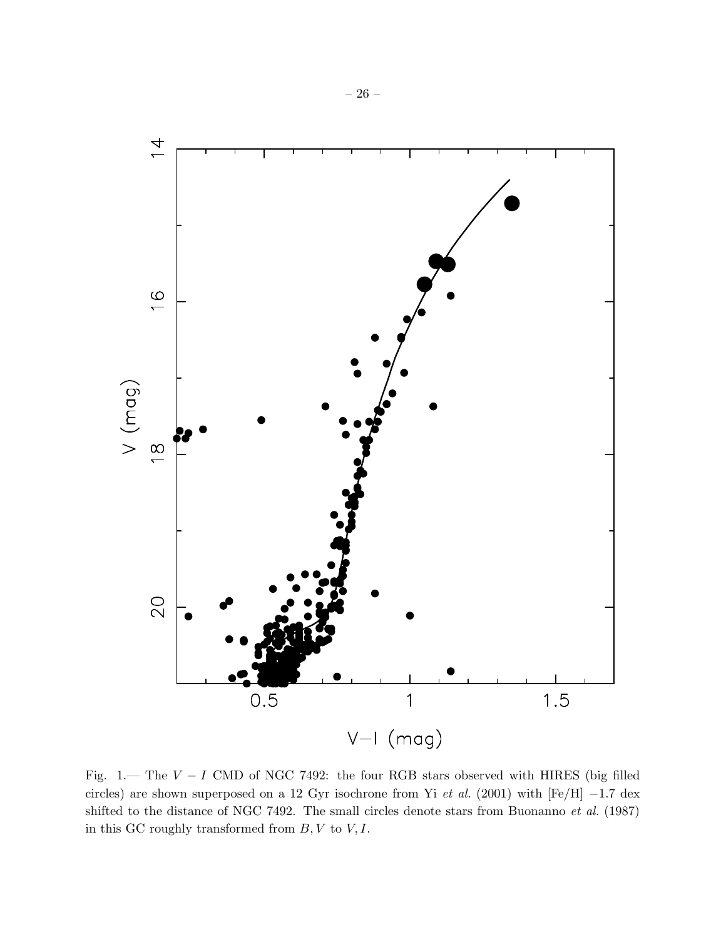

Fig. 1.— The  $V - I$  CMD of NGC 7492: the four RGB stars observed with HIRES (big filled circles) are shown superposed on a 12 Gyr isochrone from Yi *et al.* (2001) with [Fe/H] −1.7 dex shifted to the distance of NGC 7492. The small circles denote stars from Buonanno *et al.* (1987) in this GC roughly transformed from  $B, V$  to  $V, I$ .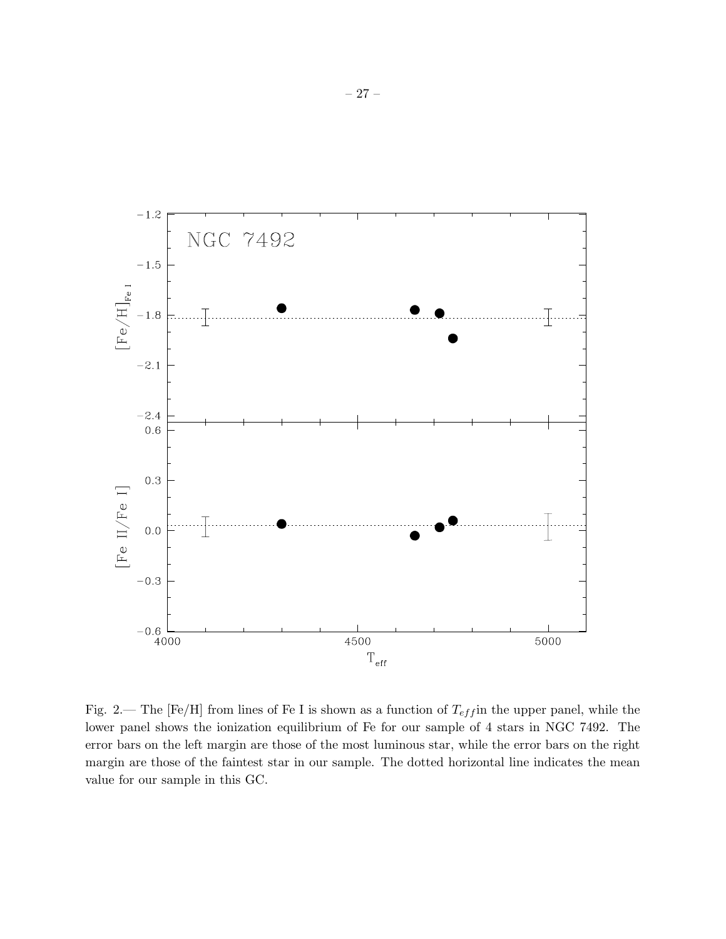

Fig. 2.— The [Fe/H] from lines of Fe I is shown as a function of  $T_{eff}$  in the upper panel, while the lower panel shows the ionization equilibrium of Fe for our sample of 4 stars in NGC 7492. The error bars on the left margin are those of the most luminous star, while the error bars on the right margin are those of the faintest star in our sample. The dotted horizontal line indicates the mean value for our sample in this GC.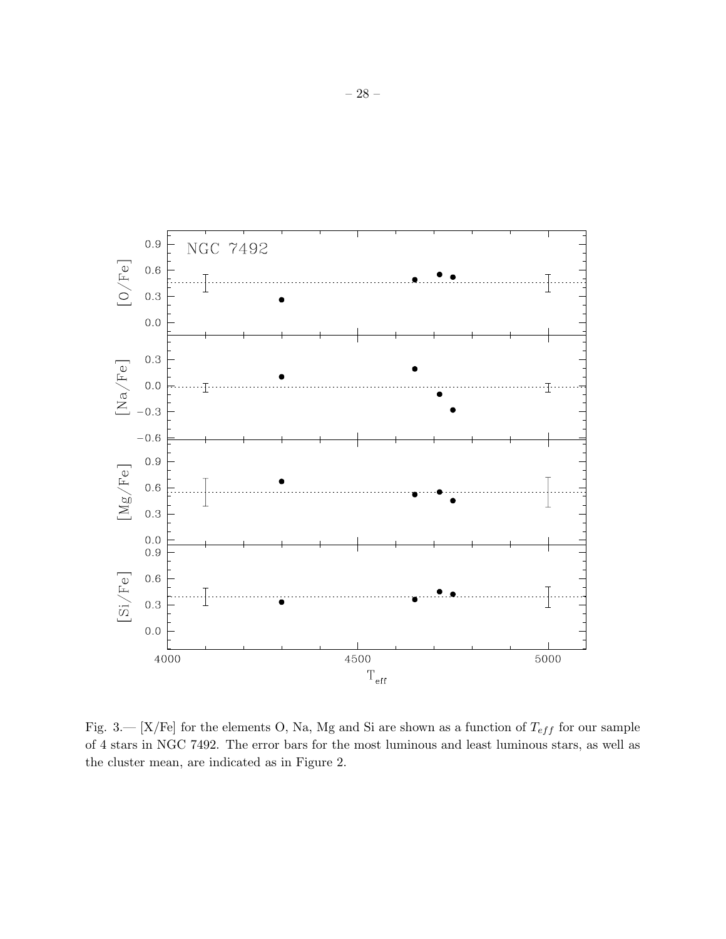

Fig. 3.— [X/Fe] for the elements O, Na, Mg and Si are shown as a function of  $T_{eff}$  for our sample of 4 stars in NGC 7492. The error bars for the most luminous and least luminous stars, as well as the cluster mean, are indicated as in Figure 2.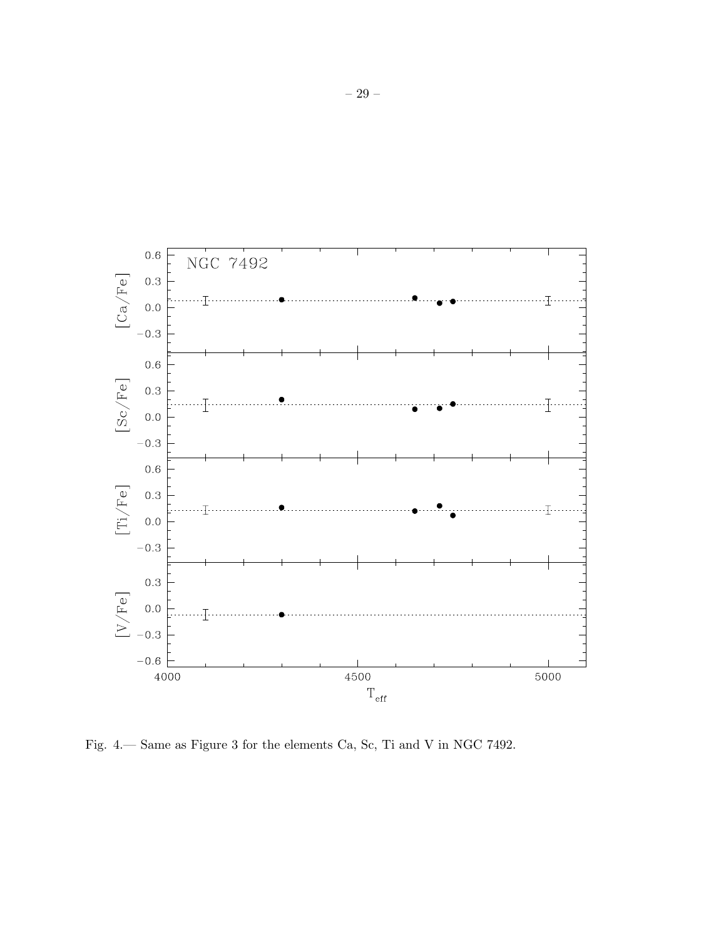

Fig. 4.— Same as Figure 3 for the elements Ca, Sc, Ti and V in NGC 7492.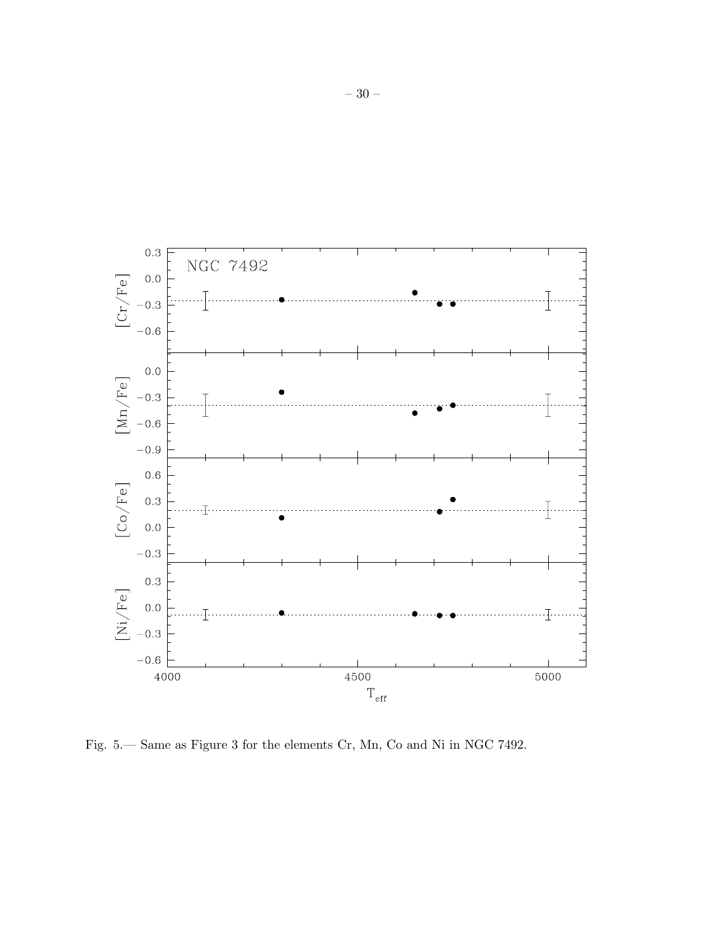

Fig. 5.— Same as Figure 3 for the elements Cr, Mn, Co and Ni in NGC 7492.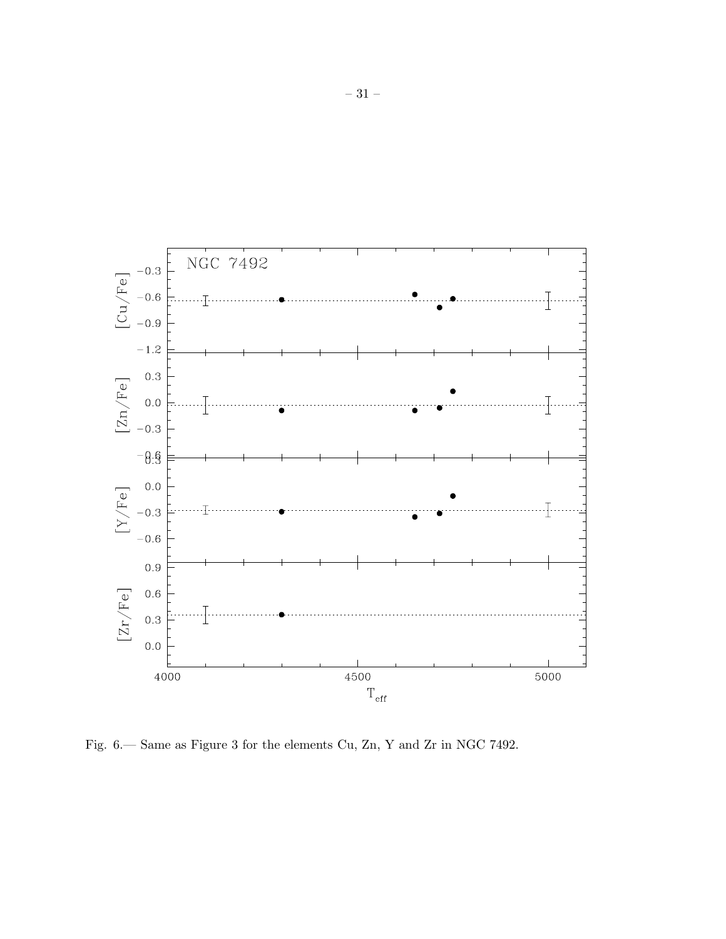

Fig. 6.— Same as Figure 3 for the elements Cu, Zn, Y and Zr in NGC 7492.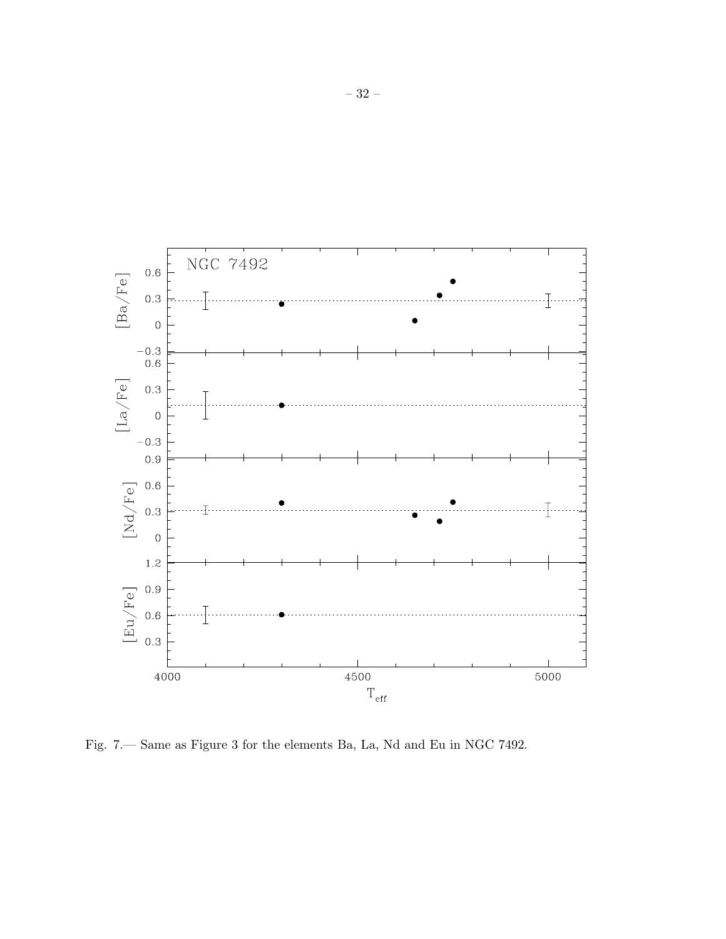

Fig. 7.— Same as Figure 3 for the elements Ba, La, Nd and Eu in NGC 7492.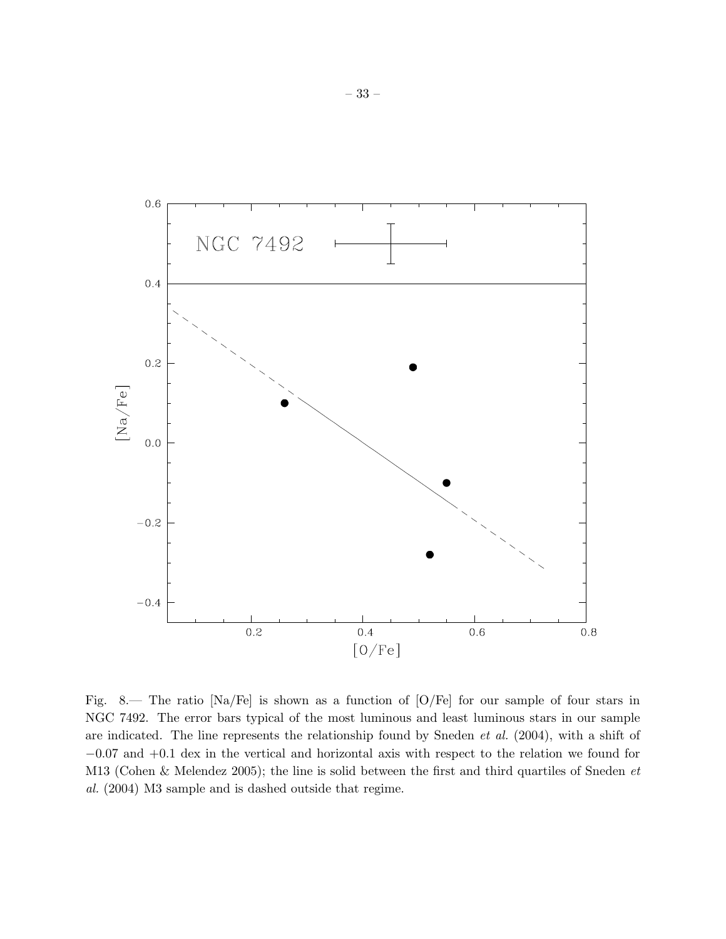

Fig. 8.— The ratio [Na/Fe] is shown as a function of [O/Fe] for our sample of four stars in NGC 7492. The error bars typical of the most luminous and least luminous stars in our sample are indicated. The line represents the relationship found by Sneden *et al.* (2004), with a shift of −0.07 and +0.1 dex in the vertical and horizontal axis with respect to the relation we found for M13 (Cohen & Melendez 2005); the line is solid between the first and third quartiles of Sneden *et al.* (2004) M3 sample and is dashed outside that regime.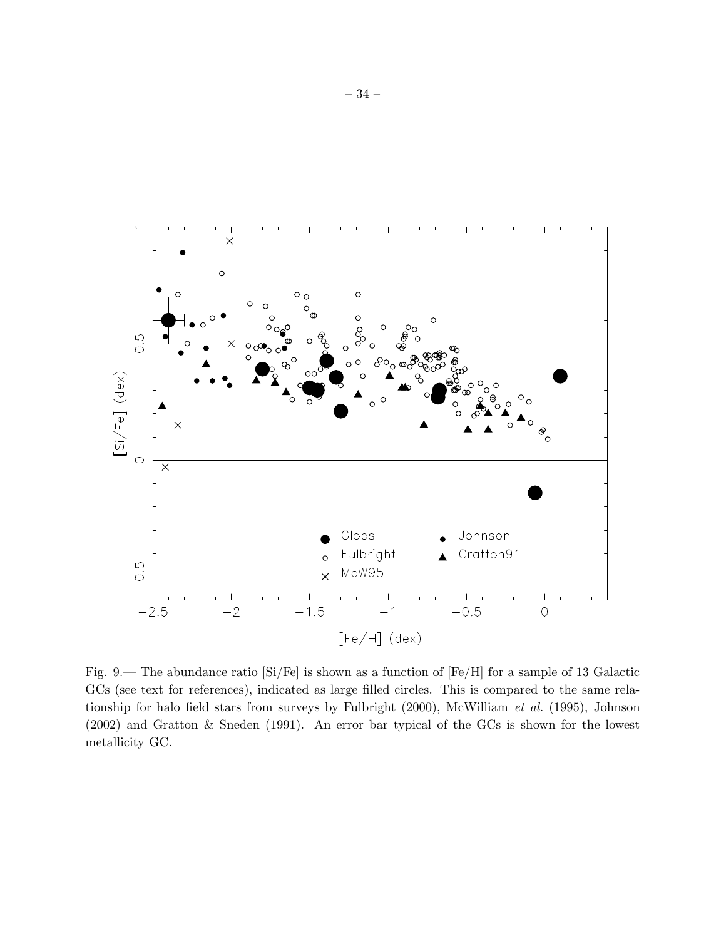

Fig. 9.— The abundance ratio [Si/Fe] is shown as a function of [Fe/H] for a sample of 13 Galactic GCs (see text for references), indicated as large filled circles. This is compared to the same relationship for halo field stars from surveys by Fulbright (2000), McWilliam *et al.* (1995), Johnson (2002) and Gratton & Sneden (1991). An error bar typical of the GCs is shown for the lowest metallicity GC.